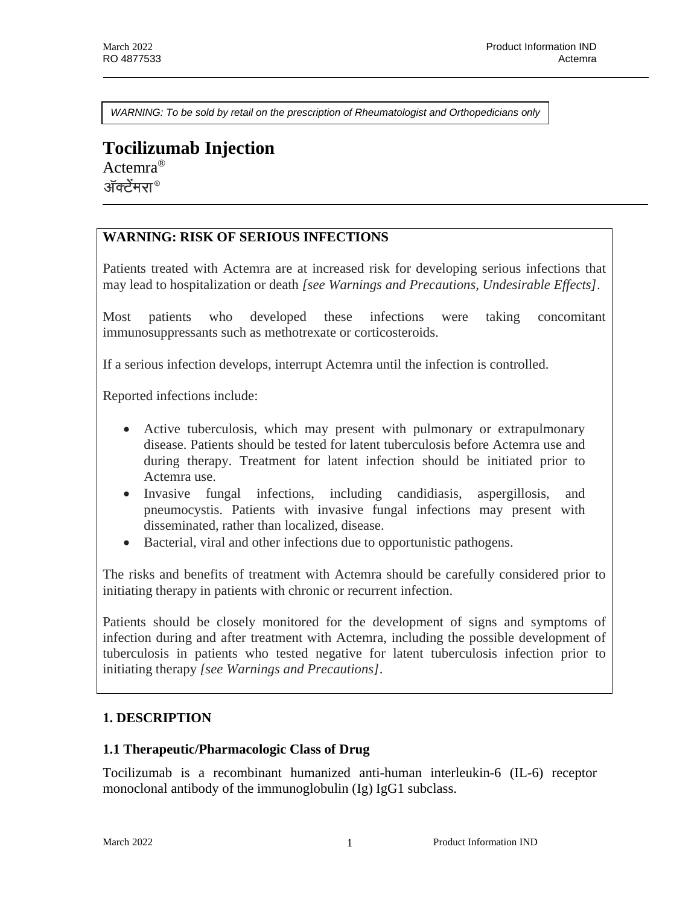*WARNING: To be sold by retail on the prescription of Rheumatologist and Orthopedicians only*

# **Tocilizumab Injection** Actemra®

ॲक्टेंमरा®

## **WARNING: RISK OF SERIOUS INFECTIONS**

Patients treated with Actemra are at increased risk for developing serious infections that may lead to hospitalization or death *[see Warnings and Precautions, Undesirable Effects]*.

Most patients who developed these infections were taking concomitant immunosuppressants such as methotrexate or corticosteroids.

If a serious infection develops, interrupt Actemra until the infection is controlled.

Reported infections include:

- Active tuberculosis, which may present with pulmonary or extrapulmonary disease. Patients should be tested for latent tuberculosis before Actemra use and during therapy. Treatment for latent infection should be initiated prior to Actemra use.
- Invasive fungal infections, including candidiasis, aspergillosis, and pneumocystis. Patients with invasive fungal infections may present with disseminated, rather than localized, disease.
- Bacterial, viral and other infections due to opportunistic pathogens.

The risks and benefits of treatment with Actemra should be carefully considered prior to initiating therapy in patients with chronic or recurrent infection.

Patients should be closely monitored for the development of signs and symptoms of infection during and after treatment with Actemra, including the possible development of tuberculosis in patients who tested negative for latent tuberculosis infection prior to initiating therapy *[see Warnings and Precautions]*.

## **1. DESCRIPTION**

#### **1.1 Therapeutic/Pharmacologic Class of Drug**

Tocilizumab is a recombinant humanized anti-human interleukin-6 (IL-6) receptor monoclonal antibody of the immunoglobulin (Ig) IgG1 subclass.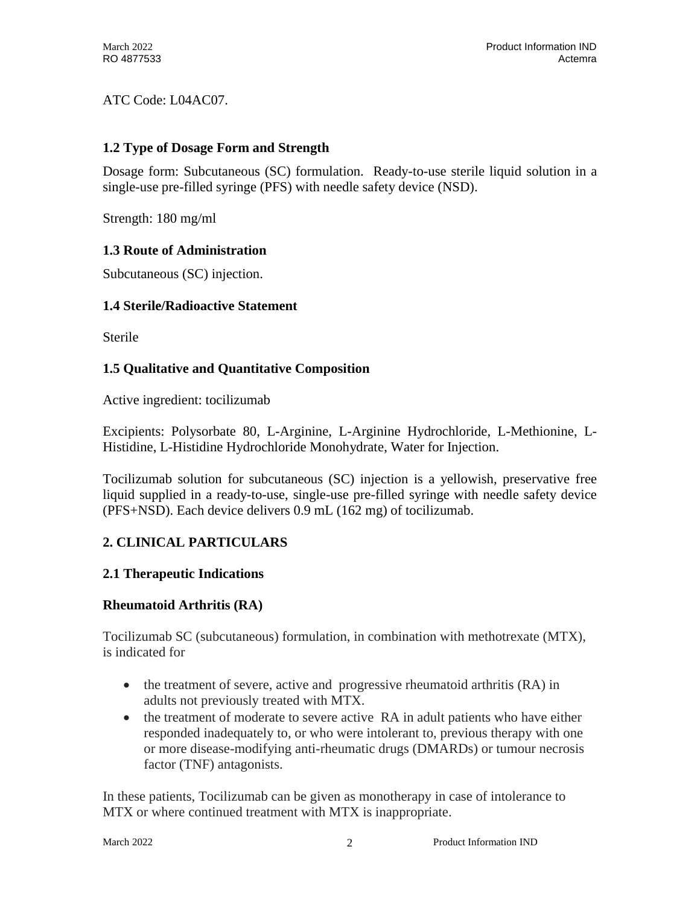ATC Code: L04AC07.

## **1.2 Type of Dosage Form and Strength**

Dosage form: Subcutaneous (SC) formulation. Ready-to-use sterile liquid solution in a single-use pre-filled syringe (PFS) with needle safety device (NSD).

Strength: 180 mg/ml

## **1.3 Route of Administration**

Subcutaneous (SC) injection.

## **1.4 Sterile/Radioactive Statement**

**Sterile** 

## **1.5 Qualitative and Quantitative Composition**

Active ingredient: tocilizumab

Excipients: Polysorbate 80, L-Arginine, L-Arginine Hydrochloride, L-Methionine, L-Histidine, L-Histidine Hydrochloride Monohydrate, Water for Injection.

Tocilizumab solution for subcutaneous (SC) injection is a yellowish, preservative free liquid supplied in a ready-to-use, single-use pre-filled syringe with needle safety device (PFS+NSD). Each device delivers 0.9 mL (162 mg) of tocilizumab.

## **2. CLINICAL PARTICULARS**

## **2.1 Therapeutic Indications**

## **Rheumatoid Arthritis (RA)**

Tocilizumab SC (subcutaneous) formulation, in combination with methotrexate (MTX), is indicated for

- the treatment of severe, active and progressive rheumatoid arthritis (RA) in adults not previously treated with MTX.
- the treatment of moderate to severe active RA in adult patients who have either responded inadequately to, or who were intolerant to, previous therapy with one or more disease-modifying anti-rheumatic drugs (DMARDs) or tumour necrosis factor (TNF) antagonists.

In these patients, Tocilizumab can be given as monotherapy in case of intolerance to MTX or where continued treatment with MTX is inappropriate.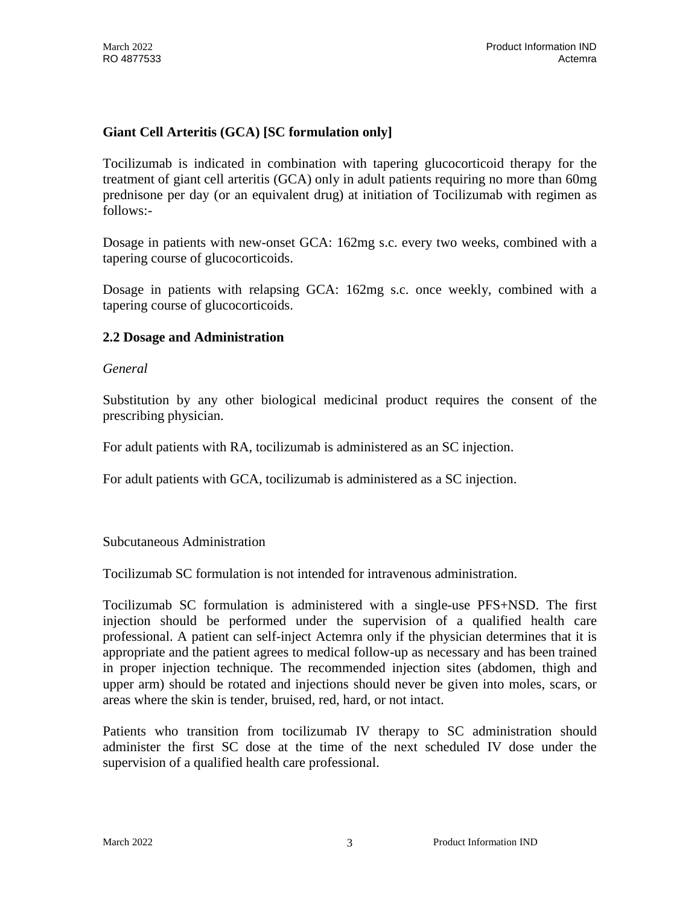## **Giant Cell Arteritis (GCA) [SC formulation only]**

Tocilizumab is indicated in combination with tapering glucocorticoid therapy for the treatment of giant cell arteritis (GCA) only in adult patients requiring no more than 60mg prednisone per day (or an equivalent drug) at initiation of Tocilizumab with regimen as follows:-

Dosage in patients with new-onset GCA: 162mg s.c. every two weeks, combined with a tapering course of glucocorticoids.

Dosage in patients with relapsing GCA: 162mg s.c. once weekly, combined with a tapering course of glucocorticoids.

### **2.2 Dosage and Administration**

#### *General*

Substitution by any other biological medicinal product requires the consent of the prescribing physician.

For adult patients with RA, tocilizumab is administered as an SC injection.

For adult patients with GCA, tocilizumab is administered as a SC injection.

Subcutaneous Administration

Tocilizumab SC formulation is not intended for intravenous administration.

Tocilizumab SC formulation is administered with a single-use PFS+NSD. The first injection should be performed under the supervision of a qualified health care professional. A patient can self-inject Actemra only if the physician determines that it is appropriate and the patient agrees to medical follow-up as necessary and has been trained in proper injection technique. The recommended injection sites (abdomen, thigh and upper arm) should be rotated and injections should never be given into moles, scars, or areas where the skin is tender, bruised, red, hard, or not intact.

Patients who transition from tocilizumab IV therapy to SC administration should administer the first SC dose at the time of the next scheduled IV dose under the supervision of a qualified health care professional.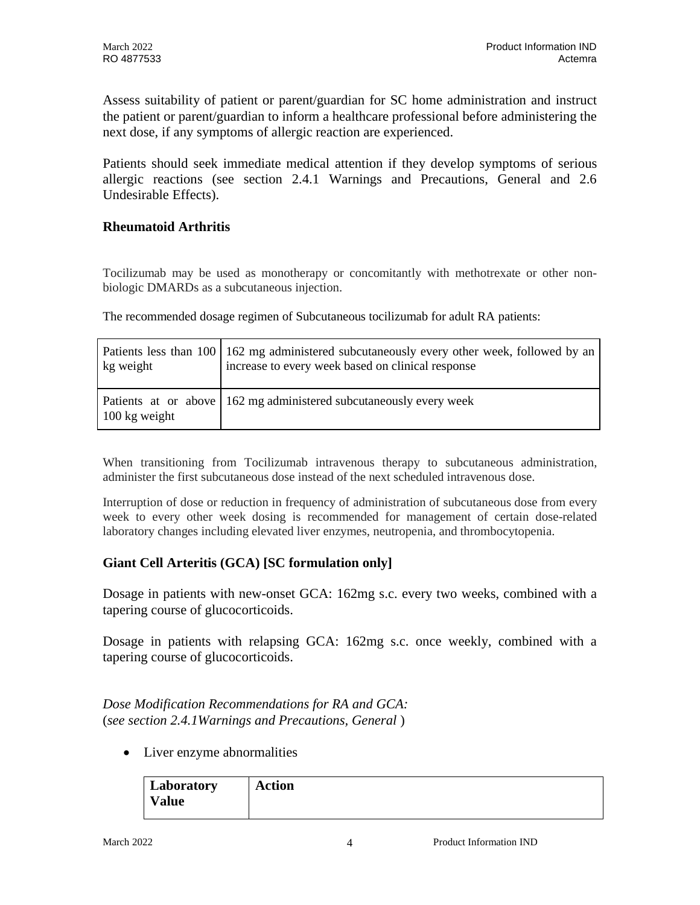Assess suitability of patient or parent/guardian for SC home administration and instruct the patient or parent/guardian to inform a healthcare professional before administering the next dose, if any symptoms of allergic reaction are experienced.

Patients should seek immediate medical attention if they develop symptoms of serious allergic reactions (see section 2.4.1 Warnings and Precautions, General and 2.6 Undesirable Effects).

### **Rheumatoid Arthritis**

Tocilizumab may be used as monotherapy or concomitantly with methotrexate or other nonbiologic DMARDs as a subcutaneous injection.

The recommended dosage regimen of Subcutaneous tocilizumab for adult RA patients:

| kg weight               | Patients less than 100   162 mg administered subcutaneously every other week, followed by an<br>increase to every week based on clinical response |
|-------------------------|---------------------------------------------------------------------------------------------------------------------------------------------------|
| $100 \text{ kg weight}$ | Patients at or above   162 mg administered subcutaneously every week                                                                              |

When transitioning from Tocilizumab intravenous therapy to subcutaneous administration, administer the first subcutaneous dose instead of the next scheduled intravenous dose.

Interruption of dose or reduction in frequency of administration of subcutaneous dose from every week to every other week dosing is recommended for management of certain dose-related laboratory changes including elevated liver enzymes, neutropenia, and thrombocytopenia.

## **Giant Cell Arteritis (GCA) [SC formulation only]**

Dosage in patients with new-onset GCA: 162mg s.c. every two weeks, combined with a tapering course of glucocorticoids.

Dosage in patients with relapsing GCA: 162mg s.c. once weekly, combined with a tapering course of glucocorticoids.

## *Dose Modification Recommendations for RA and GCA:* (*see section 2.4.1Warnings and Precautions, General* )

• Liver enzyme abnormalities

| Laboratory | <b>Action</b> |
|------------|---------------|
| Value      |               |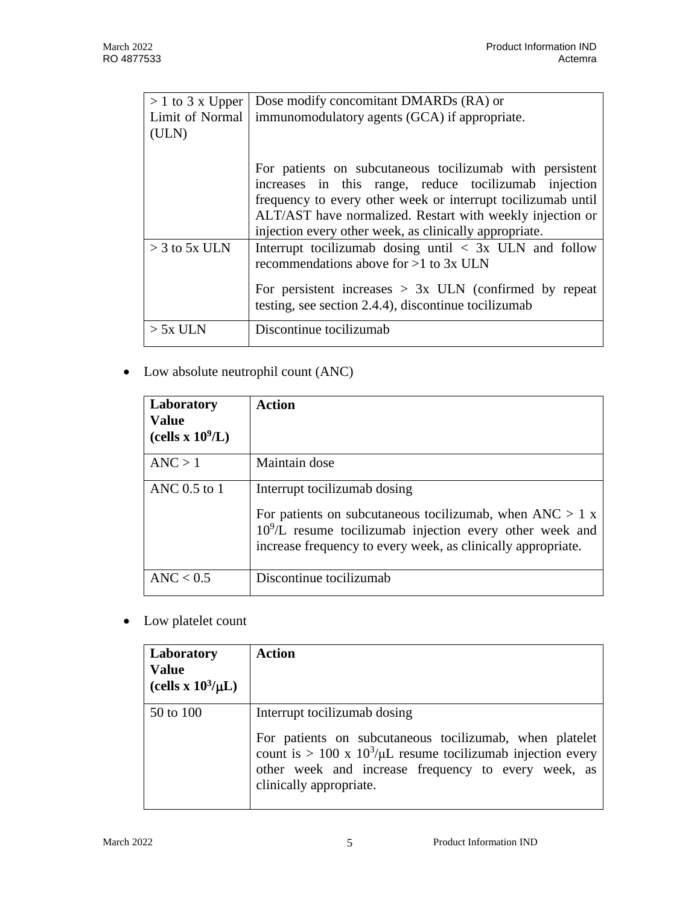| $> 1$ to 3 x Upper | Dose modify concomitant DMARDs (RA) or                                                                                                                                               |  |  |  |
|--------------------|--------------------------------------------------------------------------------------------------------------------------------------------------------------------------------------|--|--|--|
| Limit of Normal    | immunomodulatory agents (GCA) if appropriate.                                                                                                                                        |  |  |  |
| (ULN)              |                                                                                                                                                                                      |  |  |  |
|                    | For patients on subcutaneous tocilizumab with persistent<br>increases in this range, reduce to cilizum ab injection<br>frequency to every other week or interrupt to cilizumab until |  |  |  |
|                    | ALT/AST have normalized. Restart with weekly injection or<br>injection every other week, as clinically appropriate.                                                                  |  |  |  |
| $>$ 3 to 5x ULN    | Interrupt tooilizumab dosing until $\langle 3x \rangle$ ULN and follow<br>recommendations above for $>1$ to 3x ULN                                                                   |  |  |  |
|                    | For persistent increases $> 3x$ ULN (confirmed by repeat<br>testing, see section 2.4.4), discontinue tocilizumab                                                                     |  |  |  |
| $> 5x$ ULN         | Discontinue tocilizumab                                                                                                                                                              |  |  |  |

Low absolute neutrophil count (ANC)

| Laboratory<br><b>Value</b><br>(cells x $10^9$ /L) | Action                                                                                                                                                                                                 |
|---------------------------------------------------|--------------------------------------------------------------------------------------------------------------------------------------------------------------------------------------------------------|
| ANC > 1                                           | Maintain dose                                                                                                                                                                                          |
| ANC $0.5$ to 1                                    | Interrupt tocilizumab dosing                                                                                                                                                                           |
|                                                   | For patients on subcutaneous tocilizemab, when $\text{ANC} > 1 \text{ x}$<br>$109/L$ resume tocilizumab injection every other week and<br>increase frequency to every week, as clinically appropriate. |
| $\text{ANC} < 0.5$                                | Discontinue tocilizumab                                                                                                                                                                                |

• Low platelet count

| Laboratory<br><b>Value</b><br>(cells x $10^3/\mu L$ ) | <b>Action</b>                                                                                                                                                                                                                               |
|-------------------------------------------------------|---------------------------------------------------------------------------------------------------------------------------------------------------------------------------------------------------------------------------------------------|
| 50 to 100                                             | Interrupt tocilizumab dosing<br>For patients on subcutaneous tocilizumab, when platelet<br>count is > 100 x $10^3/\mu$ resume tocilizumab injection every<br>other week and increase frequency to every week, as<br>clinically appropriate. |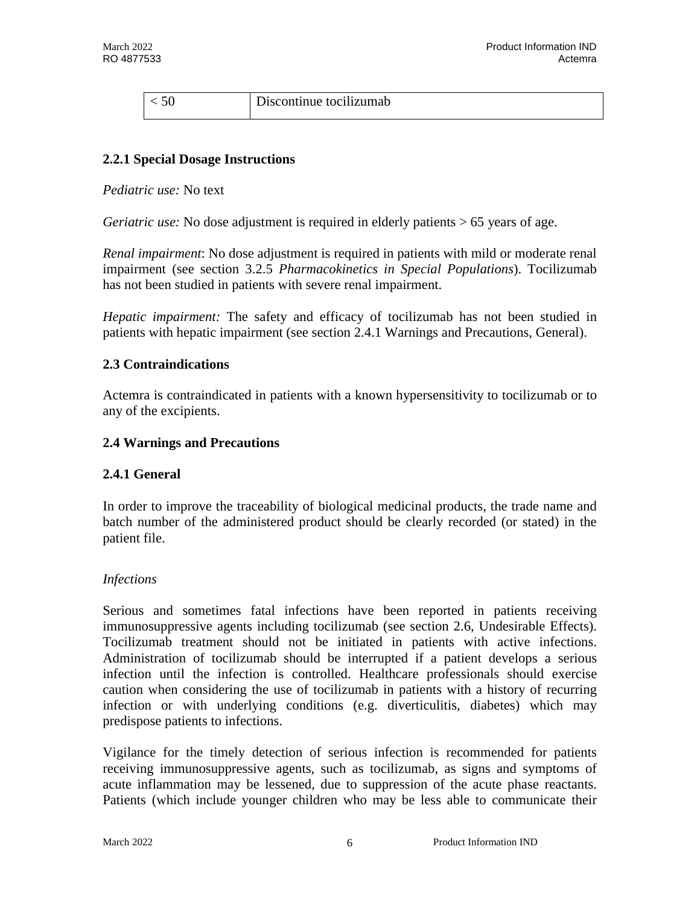| Discontinue tocilizumab |
|-------------------------|
|                         |

#### **2.2.1 Special Dosage Instructions**

*Pediatric use:* No text

*Geriatric use:* No dose adjustment is required in elderly patients  $> 65$  years of age.

*Renal impairment*: No dose adjustment is required in patients with mild or moderate renal impairment (see section 3.2.5 *Pharmacokinetics in Special Populations*). Tocilizumab has not been studied in patients with severe renal impairment.

*Hepatic impairment:* The safety and efficacy of tocilizumab has not been studied in patients with hepatic impairment (see section 2.4.1 Warnings and Precautions, General).

#### **2.3 Contraindications**

Actemra is contraindicated in patients with a known hypersensitivity to tocilizumab or to any of the excipients.

#### **2.4 Warnings and Precautions**

#### **2.4.1 General**

In order to improve the traceability of biological medicinal products, the trade name and batch number of the administered product should be clearly recorded (or stated) in the patient file.

#### *Infections*

Serious and sometimes fatal infections have been reported in patients receiving immunosuppressive agents including tocilizumab (see section 2.6, Undesirable Effects). Tocilizumab treatment should not be initiated in patients with active infections. Administration of tocilizumab should be interrupted if a patient develops a serious infection until the infection is controlled. Healthcare professionals should exercise caution when considering the use of tocilizumab in patients with a history of recurring infection or with underlying conditions (e.g. diverticulitis, diabetes) which may predispose patients to infections.

Vigilance for the timely detection of serious infection is recommended for patients receiving immunosuppressive agents, such as tocilizumab, as signs and symptoms of acute inflammation may be lessened, due to suppression of the acute phase reactants. Patients (which include younger children who may be less able to communicate their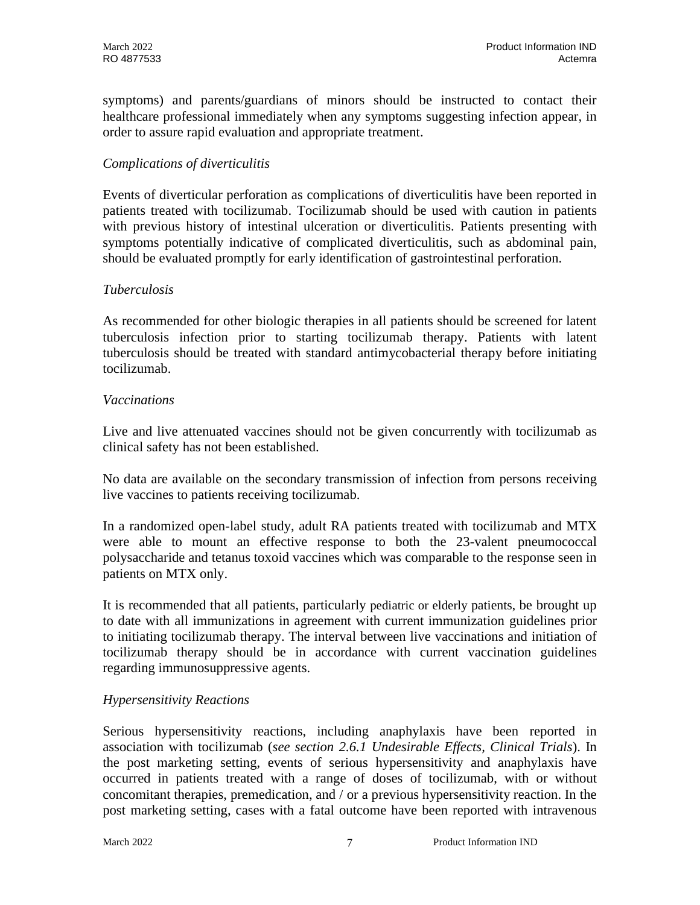symptoms) and parents/guardians of minors should be instructed to contact their healthcare professional immediately when any symptoms suggesting infection appear, in order to assure rapid evaluation and appropriate treatment.

## *Complications of diverticulitis*

Events of diverticular perforation as complications of diverticulitis have been reported in patients treated with tocilizumab. Tocilizumab should be used with caution in patients with previous history of intestinal ulceration or diverticulitis. Patients presenting with symptoms potentially indicative of complicated diverticulitis, such as abdominal pain, should be evaluated promptly for early identification of gastrointestinal perforation.

### *Tuberculosis*

As recommended for other biologic therapies in all patients should be screened for latent tuberculosis infection prior to starting tocilizumab therapy. Patients with latent tuberculosis should be treated with standard antimycobacterial therapy before initiating tocilizumab.

### *Vaccinations*

Live and live attenuated vaccines should not be given concurrently with tocilizumab as clinical safety has not been established.

No data are available on the secondary transmission of infection from persons receiving live vaccines to patients receiving tocilizumab.

In a randomized open-label study, adult RA patients treated with tocilizumab and MTX were able to mount an effective response to both the 23-valent pneumococcal polysaccharide and tetanus toxoid vaccines which was comparable to the response seen in patients on MTX only.

It is recommended that all patients, particularly pediatric or elderly patients, be brought up to date with all immunizations in agreement with current immunization guidelines prior to initiating tocilizumab therapy. The interval between live vaccinations and initiation of tocilizumab therapy should be in accordance with current vaccination guidelines regarding immunosuppressive agents.

## *Hypersensitivity Reactions*

Serious hypersensitivity reactions, including anaphylaxis have been reported in association with tocilizumab (*see section 2.6.1 Undesirable Effects, Clinical Trials*). In the post marketing setting, events of serious hypersensitivity and anaphylaxis have occurred in patients treated with a range of doses of tocilizumab, with or without concomitant therapies, premedication, and / or a previous hypersensitivity reaction. In the post marketing setting, cases with a fatal outcome have been reported with intravenous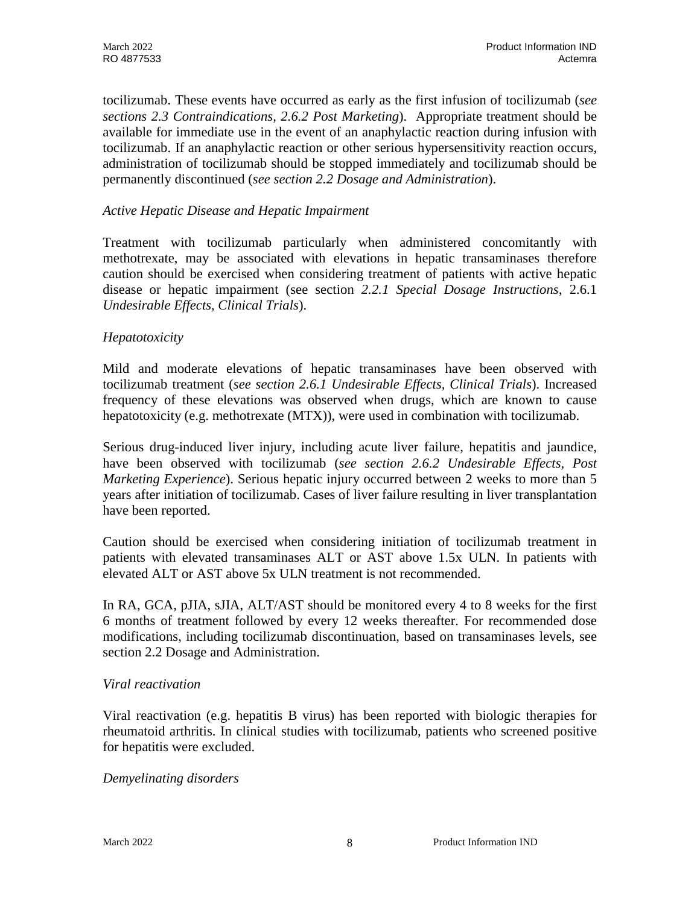tocilizumab. These events have occurred as early as the first infusion of tocilizumab (*see sections 2.3 Contraindications, 2.6.2 Post Marketing*). Appropriate treatment should be available for immediate use in the event of an anaphylactic reaction during infusion with tocilizumab. If an anaphylactic reaction or other serious hypersensitivity reaction occurs, administration of tocilizumab should be stopped immediately and tocilizumab should be permanently discontinued (*see section 2.2 Dosage and Administration*).

### *Active Hepatic Disease and Hepatic Impairment*

Treatment with tocilizumab particularly when administered concomitantly with methotrexate, may be associated with elevations in hepatic transaminases therefore caution should be exercised when considering treatment of patients with active hepatic disease or hepatic impairment (see section *2.2.1 Special Dosage Instructions*, 2.6.1 *Undesirable Effects, Clinical Trials*).

### *Hepatotoxicity*

Mild and moderate elevations of hepatic transaminases have been observed with tocilizumab treatment (*see section 2.6.1 Undesirable Effects, Clinical Trials*). Increased frequency of these elevations was observed when drugs, which are known to cause hepatotoxicity (e.g. methotrexate (MTX)), were used in combination with tocilizumab.

Serious drug-induced liver injury, including acute liver failure, hepatitis and jaundice, have been observed with tocilizumab (*see section 2.6.2 Undesirable Effects, Post Marketing Experience*). Serious hepatic injury occurred between 2 weeks to more than 5 years after initiation of tocilizumab. Cases of liver failure resulting in liver transplantation have been reported.

Caution should be exercised when considering initiation of tocilizumab treatment in patients with elevated transaminases ALT or AST above 1.5x ULN. In patients with elevated ALT or AST above 5x ULN treatment is not recommended.

In RA, GCA, pJIA, sJIA, ALT/AST should be monitored every 4 to 8 weeks for the first 6 months of treatment followed by every 12 weeks thereafter. For recommended dose modifications, including tocilizumab discontinuation, based on transaminases levels, see section 2.2 Dosage and Administration.

#### *Viral reactivation*

Viral reactivation (e.g. hepatitis B virus) has been reported with biologic therapies for rheumatoid arthritis. In clinical studies with tocilizumab, patients who screened positive for hepatitis were excluded.

#### *Demyelinating disorders*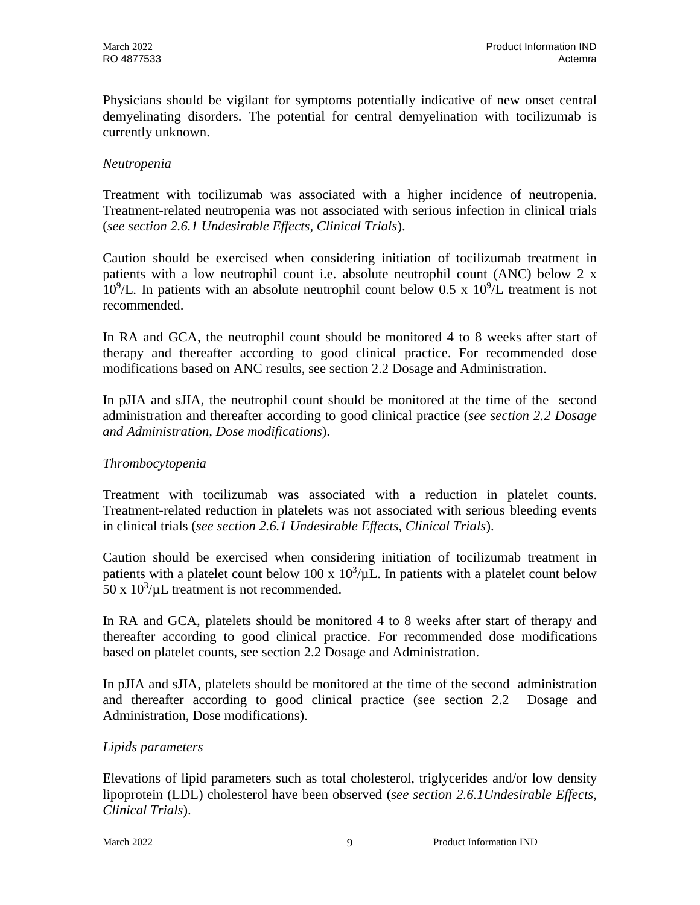Physicians should be vigilant for symptoms potentially indicative of new onset central demyelinating disorders. The potential for central demyelination with tocilizumab is currently unknown.

### *Neutropenia*

Treatment with tocilizumab was associated with a higher incidence of neutropenia. Treatment-related neutropenia was not associated with serious infection in clinical trials (*see section 2.6.1 Undesirable Effects, Clinical Trials*).

Caution should be exercised when considering initiation of tocilizumab treatment in patients with a low neutrophil count i.e. absolute neutrophil count (ANC) below 2 x  $10^9$ /L. In patients with an absolute neutrophil count below 0.5 x  $10^9$ /L treatment is not recommended.

In RA and GCA, the neutrophil count should be monitored 4 to 8 weeks after start of therapy and thereafter according to good clinical practice. For recommended dose modifications based on ANC results, see section 2.2 Dosage and Administration.

In pJIA and sJIA, the neutrophil count should be monitored at the time of the second administration and thereafter according to good clinical practice (*see section 2.2 Dosage and Administration, Dose modifications*).

#### *Thrombocytopenia*

Treatment with tocilizumab was associated with a reduction in platelet counts. Treatment-related reduction in platelets was not associated with serious bleeding events in clinical trials (*see section 2.6.1 Undesirable Effects, Clinical Trials*).

Caution should be exercised when considering initiation of tocilizumab treatment in patients with a platelet count below 100 x  $10^3/\mu$ L. In patients with a platelet count below 50 x  $10^3/\mu$ L treatment is not recommended.

In RA and GCA, platelets should be monitored 4 to 8 weeks after start of therapy and thereafter according to good clinical practice. For recommended dose modifications based on platelet counts, see section 2.2 Dosage and Administration.

In pJIA and sJIA, platelets should be monitored at the time of the second administration and thereafter according to good clinical practice (see section 2.2 Dosage and Administration, Dose modifications).

## *Lipids parameters*

Elevations of lipid parameters such as total cholesterol, triglycerides and/or low density lipoprotein (LDL) cholesterol have been observed (*see section 2.6.1Undesirable Effects, Clinical Trials*).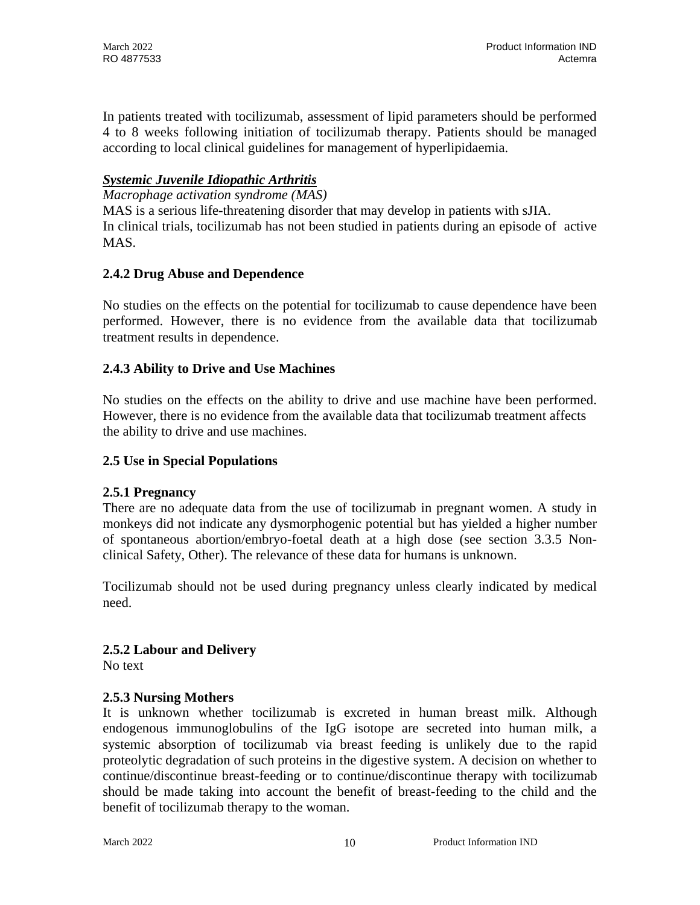In patients treated with tocilizumab, assessment of lipid parameters should be performed 4 to 8 weeks following initiation of tocilizumab therapy. Patients should be managed according to local clinical guidelines for management of hyperlipidaemia.

### *Systemic Juvenile Idiopathic Arthritis*

*Macrophage activation syndrome (MAS)* MAS is a serious life-threatening disorder that may develop in patients with sJIA. In clinical trials, tocilizumab has not been studied in patients during an episode of active MAS.

### **2.4.2 Drug Abuse and Dependence**

No studies on the effects on the potential for tocilizumab to cause dependence have been performed. However, there is no evidence from the available data that tocilizumab treatment results in dependence.

## **2.4.3 Ability to Drive and Use Machines**

No studies on the effects on the ability to drive and use machine have been performed. However, there is no evidence from the available data that tocilizumab treatment affects the ability to drive and use machines.

#### **2.5 Use in Special Populations**

#### **2.5.1 Pregnancy**

There are no adequate data from the use of tocilizumab in pregnant women. A study in monkeys did not indicate any dysmorphogenic potential but has yielded a higher number of spontaneous abortion/embryo-foetal death at a high dose (see section 3.3.5 Nonclinical Safety, Other). The relevance of these data for humans is unknown.

Tocilizumab should not be used during pregnancy unless clearly indicated by medical need.

#### **2.5.2 Labour and Delivery**

No text

#### **2.5.3 Nursing Mothers**

It is unknown whether tocilizumab is excreted in human breast milk. Although endogenous immunoglobulins of the IgG isotope are secreted into human milk, a systemic absorption of tocilizumab via breast feeding is unlikely due to the rapid proteolytic degradation of such proteins in the digestive system. A decision on whether to continue/discontinue breast-feeding or to continue/discontinue therapy with tocilizumab should be made taking into account the benefit of breast-feeding to the child and the benefit of tocilizumab therapy to the woman.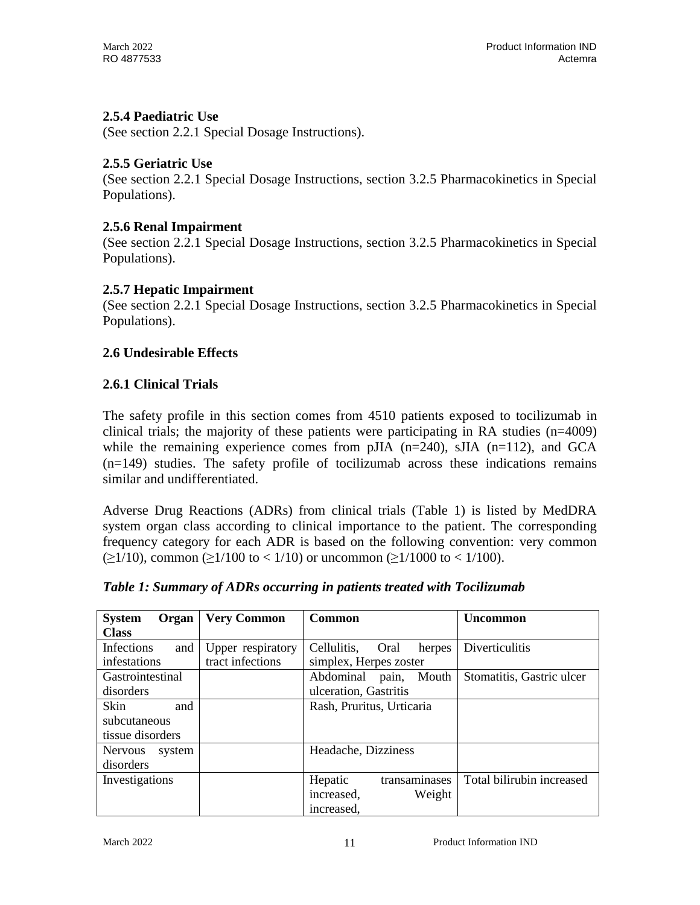## **2.5.4 Paediatric Use**

(See section 2.2.1 Special Dosage Instructions).

## **2.5.5 Geriatric Use**

(See section 2.2.1 Special Dosage Instructions, section 3.2.5 Pharmacokinetics in Special Populations).

## **2.5.6 Renal Impairment**

(See section 2.2.1 Special Dosage Instructions, section 3.2.5 Pharmacokinetics in Special Populations).

## **2.5.7 Hepatic Impairment**

(See section 2.2.1 Special Dosage Instructions, section 3.2.5 Pharmacokinetics in Special Populations).

## **2.6 Undesirable Effects**

## **2.6.1 Clinical Trials**

The safety profile in this section comes from 4510 patients exposed to tocilizumab in clinical trials; the majority of these patients were participating in RA studies  $(n=4009)$ while the remaining experience comes from pJIA  $(n=240)$ , sJIA  $(n=112)$ , and GCA (n=149) studies. The safety profile of tocilizumab across these indications remains similar and undifferentiated.

Adverse Drug Reactions (ADRs) from clinical trials (Table 1) is listed by MedDRA system organ class according to clinical importance to the patient. The corresponding frequency category for each ADR is based on the following convention: very common  $(\geq 1/10)$ , common  $(\geq 1/100$  to < 1/10) or uncommon  $(\geq 1/1000$  to < 1/100).

| <b>System</b><br>Organ   | <b>Very Common</b> | Common                        | <b>Uncommon</b>           |
|--------------------------|--------------------|-------------------------------|---------------------------|
| <b>Class</b>             |                    |                               |                           |
| Infections<br>and        | Upper respiratory  | Cellulitis,<br>Oral<br>herpes | Diverticulitis            |
| infestations             | tract infections   | simplex, Herpes zoster        |                           |
| Gastrointestinal         |                    | Abdominal pain, Mouth         | Stomatitis, Gastric ulcer |
| disorders                |                    | ulceration, Gastritis         |                           |
| Skin<br>and              |                    | Rash, Pruritus, Urticaria     |                           |
| subcutaneous             |                    |                               |                           |
| tissue disorders         |                    |                               |                           |
| <b>Nervous</b><br>system |                    | Headache, Dizziness           |                           |
| disorders                |                    |                               |                           |
| Investigations           |                    | Hepatic<br>transaminases      | Total bilirubin increased |
|                          |                    | increased,<br>Weight          |                           |
|                          |                    | increased.                    |                           |

## *Table 1: Summary of ADRs occurring in patients treated with Tocilizumab*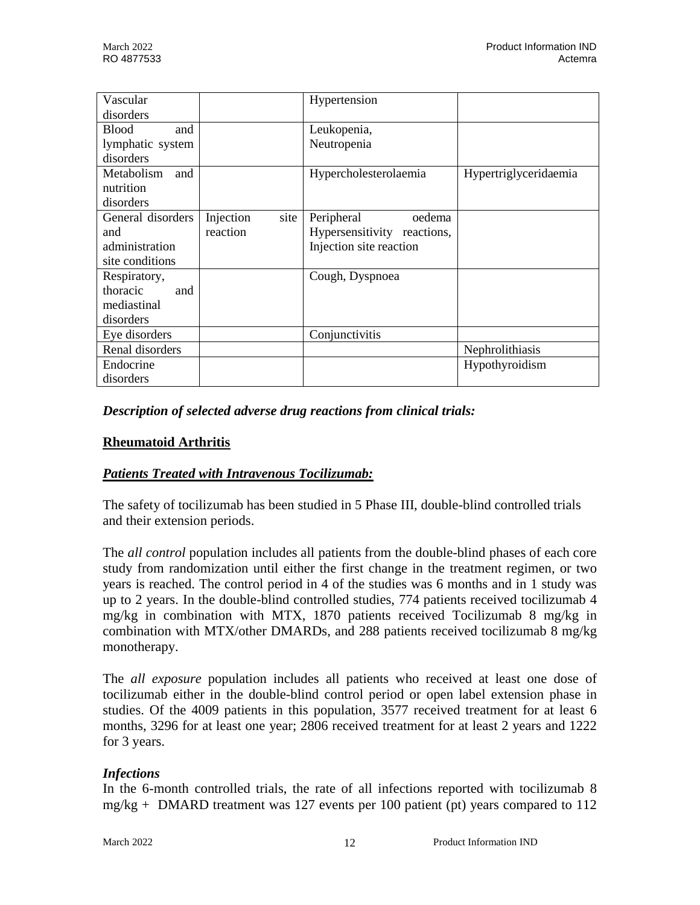| Vascular            |                   | Hypertension                |                       |
|---------------------|-------------------|-----------------------------|-----------------------|
| disorders           |                   |                             |                       |
| <b>Blood</b><br>and |                   | Leukopenia,                 |                       |
| lymphatic system    |                   | Neutropenia                 |                       |
| disorders           |                   |                             |                       |
| Metabolism<br>and   |                   | Hypercholesterolaemia       | Hypertriglyceridaemia |
| nutrition           |                   |                             |                       |
| disorders           |                   |                             |                       |
| General disorders   | Injection<br>site | Peripheral<br>oedema        |                       |
| and                 | reaction          | Hypersensitivity reactions, |                       |
| administration      |                   | Injection site reaction     |                       |
| site conditions     |                   |                             |                       |
| Respiratory,        |                   | Cough, Dyspnoea             |                       |
| thoracic<br>and     |                   |                             |                       |
| mediastinal         |                   |                             |                       |
| disorders           |                   |                             |                       |
| Eye disorders       |                   | Conjunctivitis              |                       |
| Renal disorders     |                   |                             | Nephrolithiasis       |
| Endocrine           |                   |                             | Hypothyroidism        |
| disorders           |                   |                             |                       |

*Description of selected adverse drug reactions from clinical trials:*

## **Rheumatoid Arthritis**

## *Patients Treated with Intravenous Tocilizumab:*

The safety of tocilizumab has been studied in 5 Phase III, double-blind controlled trials and their extension periods.

The *all control* population includes all patients from the double-blind phases of each core study from randomization until either the first change in the treatment regimen, or two years is reached. The control period in 4 of the studies was 6 months and in 1 study was up to 2 years. In the double-blind controlled studies, 774 patients received tocilizumab 4 mg/kg in combination with MTX, 1870 patients received Tocilizumab 8 mg/kg in combination with MTX/other DMARDs, and 288 patients received tocilizumab 8 mg/kg monotherapy.

The *all exposure* population includes all patients who received at least one dose of tocilizumab either in the double-blind control period or open label extension phase in studies. Of the 4009 patients in this population, 3577 received treatment for at least 6 months, 3296 for at least one year; 2806 received treatment for at least 2 years and 1222 for 3 years.

## *Infections*

In the 6-month controlled trials, the rate of all infections reported with tocilizumab 8  $mg/kg + DMARD$  treatment was 127 events per 100 patient (pt) years compared to 112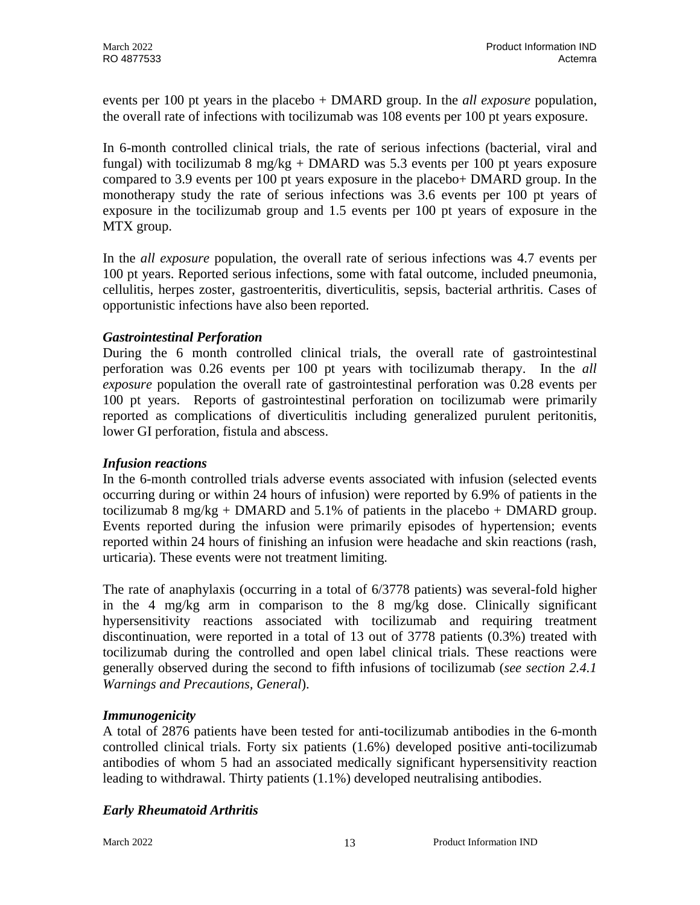events per 100 pt years in the placebo + DMARD group. In the *all exposure* population, the overall rate of infections with tocilizumab was 108 events per 100 pt years exposure.

In 6-month controlled clinical trials, the rate of serious infections (bacterial, viral and fungal) with tocilizumab 8 mg/kg + DMARD was 5.3 events per 100 pt years exposure compared to 3.9 events per 100 pt years exposure in the placebo+ DMARD group. In the monotherapy study the rate of serious infections was 3.6 events per 100 pt years of exposure in the tocilizumab group and 1.5 events per 100 pt years of exposure in the MTX group.

In the *all exposure* population, the overall rate of serious infections was 4.7 events per 100 pt years. Reported serious infections, some with fatal outcome, included pneumonia, cellulitis, herpes zoster, gastroenteritis, diverticulitis, sepsis, bacterial arthritis. Cases of opportunistic infections have also been reported.

## *Gastrointestinal Perforation*

During the 6 month controlled clinical trials, the overall rate of gastrointestinal perforation was 0.26 events per 100 pt years with tocilizumab therapy. In the *all exposure* population the overall rate of gastrointestinal perforation was 0.28 events per 100 pt years. Reports of gastrointestinal perforation on tocilizumab were primarily reported as complications of diverticulitis including generalized purulent peritonitis, lower GI perforation, fistula and abscess.

## *Infusion reactions*

In the 6-month controlled trials adverse events associated with infusion (selected events occurring during or within 24 hours of infusion) were reported by 6.9% of patients in the tocilizumab 8 mg/kg + DMARD and 5.1% of patients in the placebo + DMARD group. Events reported during the infusion were primarily episodes of hypertension; events reported within 24 hours of finishing an infusion were headache and skin reactions (rash, urticaria). These events were not treatment limiting.

The rate of anaphylaxis (occurring in a total of 6/3778 patients) was several-fold higher in the 4 mg/kg arm in comparison to the 8 mg/kg dose. Clinically significant hypersensitivity reactions associated with tocilizumab and requiring treatment discontinuation, were reported in a total of 13 out of 3778 patients (0.3%) treated with tocilizumab during the controlled and open label clinical trials. These reactions were generally observed during the second to fifth infusions of tocilizumab (*see section 2.4.1 Warnings and Precautions, General*).

## *Immunogenicity*

A total of 2876 patients have been tested for anti-tocilizumab antibodies in the 6-month controlled clinical trials. Forty six patients (1.6%) developed positive anti-tocilizumab antibodies of whom 5 had an associated medically significant hypersensitivity reaction leading to withdrawal. Thirty patients (1.1%) developed neutralising antibodies.

## *Early Rheumatoid Arthritis*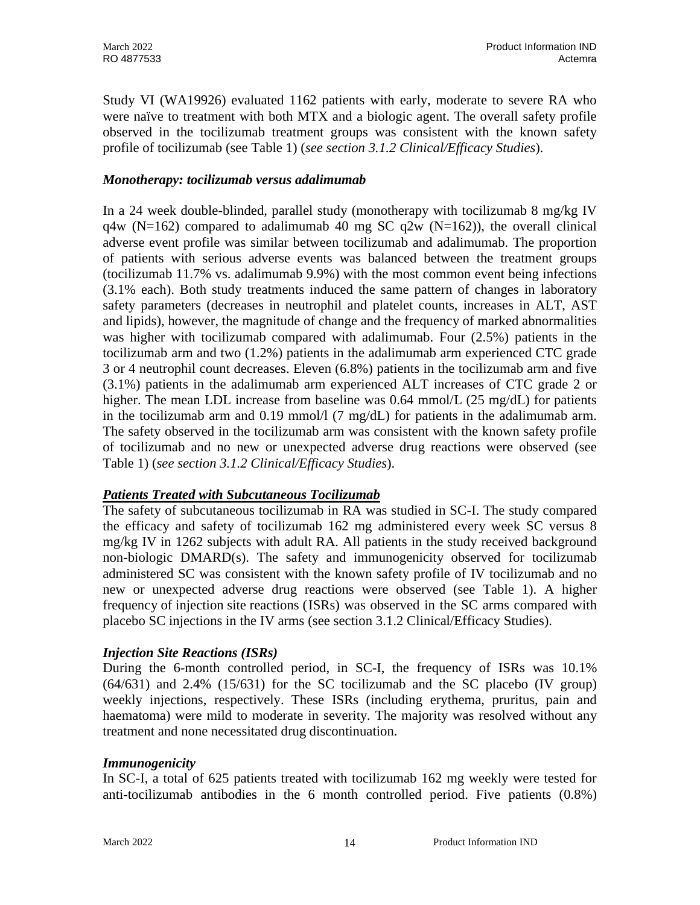Study VI (WA19926) evaluated 1162 patients with early, moderate to severe RA who were naïve to treatment with both MTX and a biologic agent. The overall safety profile observed in the tocilizumab treatment groups was consistent with the known safety profile of tocilizumab (see Table 1) (*see section 3.1.2 Clinical/Efficacy Studies*).

### *Monotherapy: tocilizumab versus adalimumab*

In a 24 week double-blinded, parallel study (monotherapy with tocilizumab 8 mg/kg IV  $q4w$  (N=162) compared to adalimumab 40 mg SC  $q2w$  (N=162)), the overall clinical adverse event profile was similar between tocilizumab and adalimumab. The proportion of patients with serious adverse events was balanced between the treatment groups (tocilizumab 11.7% vs. adalimumab 9.9%) with the most common event being infections (3.1% each). Both study treatments induced the same pattern of changes in laboratory safety parameters (decreases in neutrophil and platelet counts, increases in ALT, AST and lipids), however, the magnitude of change and the frequency of marked abnormalities was higher with tocilizumab compared with adalimumab. Four (2.5%) patients in the tocilizumab arm and two (1.2%) patients in the adalimumab arm experienced CTC grade 3 or 4 neutrophil count decreases. Eleven (6.8%) patients in the tocilizumab arm and five (3.1%) patients in the adalimumab arm experienced ALT increases of CTC grade 2 or higher. The mean LDL increase from baseline was 0.64 mmol/L (25 mg/dL) for patients in the tocilizumab arm and 0.19 mmol/l  $(7 \text{ mg/dL})$  for patients in the adalimumab arm. The safety observed in the tocilizumab arm was consistent with the known safety profile of tocilizumab and no new or unexpected adverse drug reactions were observed (see Table 1) (*see section 3.1.2 Clinical/Efficacy Studies*).

## *Patients Treated with Subcutaneous Tocilizumab*

The safety of subcutaneous tocilizumab in RA was studied in SC-I. The study compared the efficacy and safety of tocilizumab 162 mg administered every week SC versus 8 mg/kg IV in 1262 subjects with adult RA. All patients in the study received background non-biologic DMARD(s). The safety and immunogenicity observed for tocilizumab administered SC was consistent with the known safety profile of IV tocilizumab and no new or unexpected adverse drug reactions were observed (see Table 1). A higher frequency of injection site reactions (ISRs) was observed in the SC arms compared with placebo SC injections in the IV arms (see section 3.1.2 Clinical/Efficacy Studies).

#### *Injection Site Reactions (ISRs)*

During the 6-month controlled period, in SC-I, the frequency of ISRs was 10.1% (64/631) and 2.4% (15/631) for the SC tocilizumab and the SC placebo (IV group) weekly injections, respectively. These ISRs (including erythema, pruritus, pain and haematoma) were mild to moderate in severity. The majority was resolved without any treatment and none necessitated drug discontinuation.

#### *Immunogenicity*

In SC-I, a total of 625 patients treated with tocilizumab 162 mg weekly were tested for anti-tocilizumab antibodies in the 6 month controlled period. Five patients (0.8%)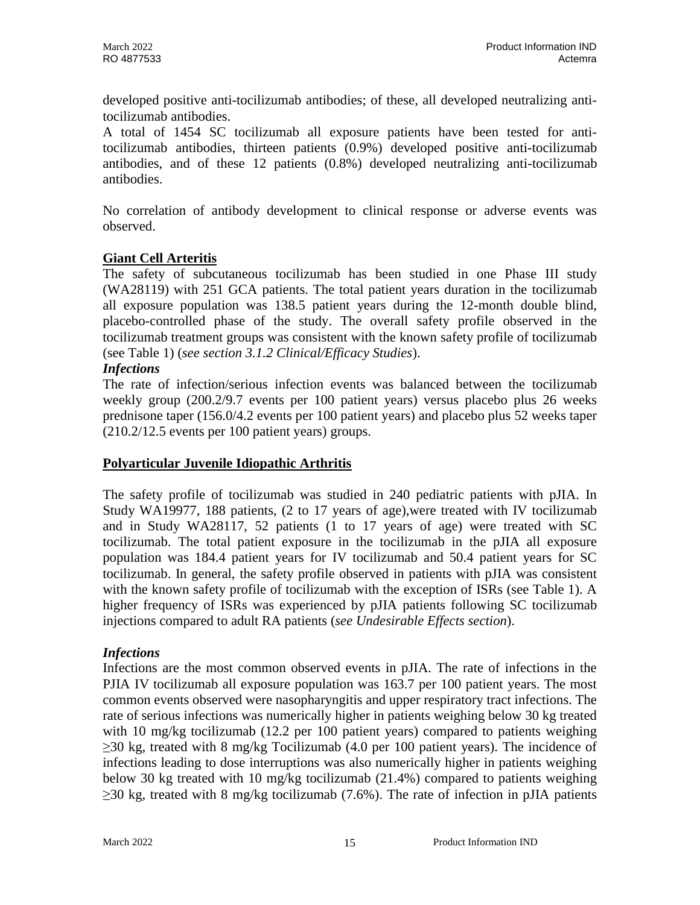developed positive anti-tocilizumab antibodies; of these, all developed neutralizing antitocilizumab antibodies.

A total of 1454 SC tocilizumab all exposure patients have been tested for antitocilizumab antibodies, thirteen patients (0.9%) developed positive anti-tocilizumab antibodies, and of these 12 patients (0.8%) developed neutralizing anti-tocilizumab antibodies.

No correlation of antibody development to clinical response or adverse events was observed.

## **Giant Cell Arteritis**

The safety of subcutaneous tocilizumab has been studied in one Phase III study (WA28119) with 251 GCA patients. The total patient years duration in the tocilizumab all exposure population was 138.5 patient years during the 12-month double blind, placebo-controlled phase of the study. The overall safety profile observed in the tocilizumab treatment groups was consistent with the known safety profile of tocilizumab (see Table 1) (*see section 3.1.2 Clinical/Efficacy Studies*).

## *Infections*

The rate of infection/serious infection events was balanced between the tocilizumab weekly group (200.2/9.7 events per 100 patient years) versus placebo plus 26 weeks prednisone taper (156.0/4.2 events per 100 patient years) and placebo plus 52 weeks taper (210.2/12.5 events per 100 patient years) groups.

#### **Polyarticular Juvenile Idiopathic Arthritis**

The safety profile of tocilizumab was studied in 240 pediatric patients with pJIA. In Study WA19977, 188 patients, (2 to 17 years of age),were treated with IV tocilizumab and in Study WA28117, 52 patients (1 to 17 years of age) were treated with SC tocilizumab. The total patient exposure in the tocilizumab in the pJIA all exposure population was 184.4 patient years for IV tocilizumab and 50.4 patient years for SC tocilizumab. In general, the safety profile observed in patients with pJIA was consistent with the known safety profile of tocilizumab with the exception of ISRs (see Table 1). A higher frequency of ISRs was experienced by pJIA patients following SC tocilizumab injections compared to adult RA patients (*see Undesirable Effects section*).

#### *Infections*

Infections are the most common observed events in pJIA. The rate of infections in the PJIA IV tocilizumab all exposure population was 163.7 per 100 patient years. The most common events observed were nasopharyngitis and upper respiratory tract infections. The rate of serious infections was numerically higher in patients weighing below 30 kg treated with 10 mg/kg tocilizumab (12.2 per 100 patient years) compared to patients weighing  $\geq$ 30 kg, treated with 8 mg/kg Tocilizumab (4.0 per 100 patient years). The incidence of infections leading to dose interruptions was also numerically higher in patients weighing below 30 kg treated with 10 mg/kg tocilizumab (21.4%) compared to patients weighing  $\geq$ 30 kg, treated with 8 mg/kg tocilizumab (7.6%). The rate of infection in pJIA patients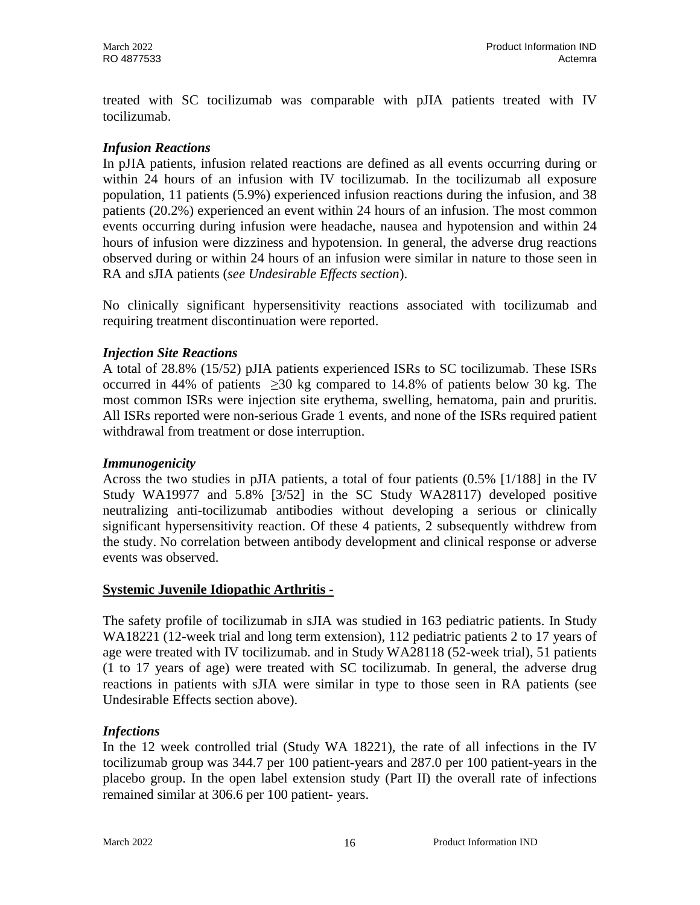treated with SC tocilizumab was comparable with pJIA patients treated with IV tocilizumab.

### *Infusion Reactions*

In pJIA patients, infusion related reactions are defined as all events occurring during or within 24 hours of an infusion with IV tocilizumab. In the tocilizumab all exposure population, 11 patients (5.9%) experienced infusion reactions during the infusion, and 38 patients (20.2%) experienced an event within 24 hours of an infusion. The most common events occurring during infusion were headache, nausea and hypotension and within 24 hours of infusion were dizziness and hypotension. In general, the adverse drug reactions observed during or within 24 hours of an infusion were similar in nature to those seen in RA and sJIA patients (*see Undesirable Effects section*).

No clinically significant hypersensitivity reactions associated with tocilizumab and requiring treatment discontinuation were reported.

### *Injection Site Reactions*

A total of 28.8% (15/52) pJIA patients experienced ISRs to SC tocilizumab. These ISRs occurred in 44% of patients  $\geq 30$  kg compared to 14.8% of patients below 30 kg. The most common ISRs were injection site erythema, swelling, hematoma, pain and pruritis. All ISRs reported were non-serious Grade 1 events, and none of the ISRs required patient withdrawal from treatment or dose interruption.

#### *Immunogenicity*

Across the two studies in pJIA patients, a total of four patients (0.5% [1/188] in the IV Study WA19977 and 5.8% [3/52] in the SC Study WA28117) developed positive neutralizing anti-tocilizumab antibodies without developing a serious or clinically significant hypersensitivity reaction. Of these 4 patients, 2 subsequently withdrew from the study. No correlation between antibody development and clinical response or adverse events was observed.

#### **Systemic Juvenile Idiopathic Arthritis -**

The safety profile of tocilizumab in sJIA was studied in 163 pediatric patients. In Study WA18221 (12-week trial and long term extension), 112 pediatric patients 2 to 17 years of age were treated with IV tocilizumab. and in Study WA28118 (52-week trial), 51 patients (1 to 17 years of age) were treated with SC tocilizumab. In general, the adverse drug reactions in patients with sJIA were similar in type to those seen in RA patients (see Undesirable Effects section above).

## *Infections*

In the 12 week controlled trial (Study WA 18221), the rate of all infections in the IV tocilizumab group was 344.7 per 100 patient-years and 287.0 per 100 patient-years in the placebo group. In the open label extension study (Part II) the overall rate of infections remained similar at 306.6 per 100 patient- years.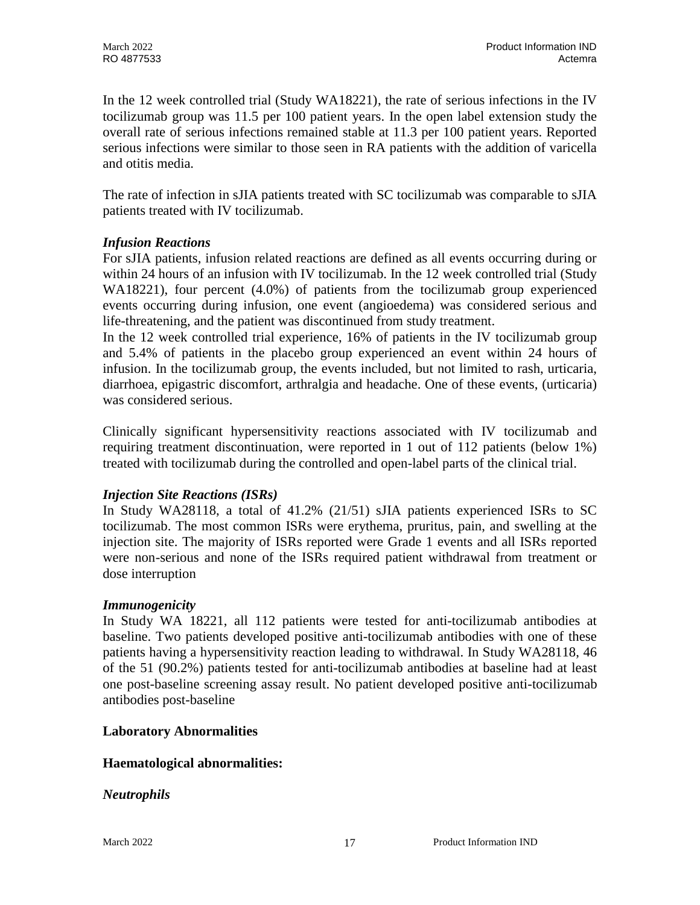In the 12 week controlled trial (Study WA18221), the rate of serious infections in the IV tocilizumab group was 11.5 per 100 patient years. In the open label extension study the overall rate of serious infections remained stable at 11.3 per 100 patient years. Reported serious infections were similar to those seen in RA patients with the addition of varicella and otitis media.

The rate of infection in sJIA patients treated with SC tocilizumab was comparable to sJIA patients treated with IV tocilizumab.

## *Infusion Reactions*

For sJIA patients, infusion related reactions are defined as all events occurring during or within 24 hours of an infusion with IV tocilizumab. In the 12 week controlled trial (Study WA18221), four percent (4.0%) of patients from the tocilizumab group experienced events occurring during infusion, one event (angioedema) was considered serious and life-threatening, and the patient was discontinued from study treatment.

In the 12 week controlled trial experience, 16% of patients in the IV tocilizumab group and 5.4% of patients in the placebo group experienced an event within 24 hours of infusion. In the tocilizumab group, the events included, but not limited to rash, urticaria, diarrhoea, epigastric discomfort, arthralgia and headache. One of these events, (urticaria) was considered serious.

Clinically significant hypersensitivity reactions associated with IV tocilizumab and requiring treatment discontinuation, were reported in 1 out of 112 patients (below 1%) treated with tocilizumab during the controlled and open-label parts of the clinical trial.

## *Injection Site Reactions (ISRs)*

In Study WA28118, a total of 41.2% (21/51) sJIA patients experienced ISRs to SC tocilizumab. The most common ISRs were erythema, pruritus, pain, and swelling at the injection site. The majority of ISRs reported were Grade 1 events and all ISRs reported were non-serious and none of the ISRs required patient withdrawal from treatment or dose interruption

## *Immunogenicity*

In Study WA 18221, all 112 patients were tested for anti-tocilizumab antibodies at baseline. Two patients developed positive anti-tocilizumab antibodies with one of these patients having a hypersensitivity reaction leading to withdrawal. In Study WA28118, 46 of the 51 (90.2%) patients tested for anti-tocilizumab antibodies at baseline had at least one post-baseline screening assay result. No patient developed positive anti-tocilizumab antibodies post-baseline

## **Laboratory Abnormalities**

## **Haematological abnormalities:**

## *Neutrophils*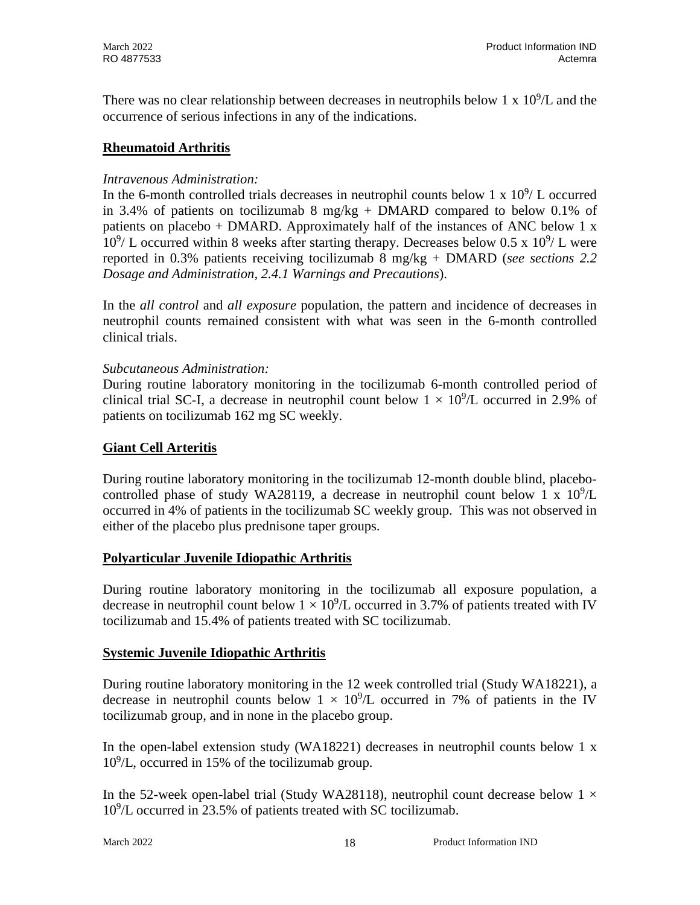There was no clear relationship between decreases in neutrophils below 1 x  $10^9$ /L and the occurrence of serious infections in any of the indications.

## **Rheumatoid Arthritis**

## *Intravenous Administration:*

In the 6-month controlled trials decreases in neutrophil counts below 1 x  $10^9$ / L occurred in 3.4% of patients on tocilizumab 8 mg/kg + DMARD compared to below 0.1% of patients on placebo + DMARD. Approximately half of the instances of ANC below 1 x  $10^9$ / L occurred within 8 weeks after starting therapy. Decreases below 0.5 x  $10^9$ / L were reported in 0.3% patients receiving tocilizumab 8 mg/kg + DMARD (*see sections 2.2 Dosage and Administration, 2.4.1 Warnings and Precautions*).

In the *all control* and *all exposure* population, the pattern and incidence of decreases in neutrophil counts remained consistent with what was seen in the 6-month controlled clinical trials.

## *Subcutaneous Administration:*

During routine laboratory monitoring in the tocilizumab 6-month controlled period of clinical trial SC-I, a decrease in neutrophil count below  $1 \times 10^9$ /L occurred in 2.9% of patients on tocilizumab 162 mg SC weekly.

## **Giant Cell Arteritis**

During routine laboratory monitoring in the tocilizumab 12-month double blind, placebocontrolled phase of study WA28119, a decrease in neutrophil count below 1 x  $10^9$ /L occurred in 4% of patients in the tocilizumab SC weekly group. This was not observed in either of the placebo plus prednisone taper groups.

## **Polyarticular Juvenile Idiopathic Arthritis**

During routine laboratory monitoring in the tocilizumab all exposure population, a decrease in neutrophil count below  $1 \times 10^9$ /L occurred in 3.7% of patients treated with IV tocilizumab and 15.4% of patients treated with SC tocilizumab.

## **Systemic Juvenile Idiopathic Arthritis**

During routine laboratory monitoring in the 12 week controlled trial (Study WA18221), a decrease in neutrophil counts below  $1 \times 10^9$ /L occurred in 7% of patients in the IV tocilizumab group, and in none in the placebo group.

In the open-label extension study (WA18221) decreases in neutrophil counts below 1 x 109 /L, occurred in 15% of the tocilizumab group.

In the 52-week open-label trial (Study WA28118), neutrophil count decrease below  $1 \times$ 109 /L occurred in 23.5% of patients treated with SC tocilizumab.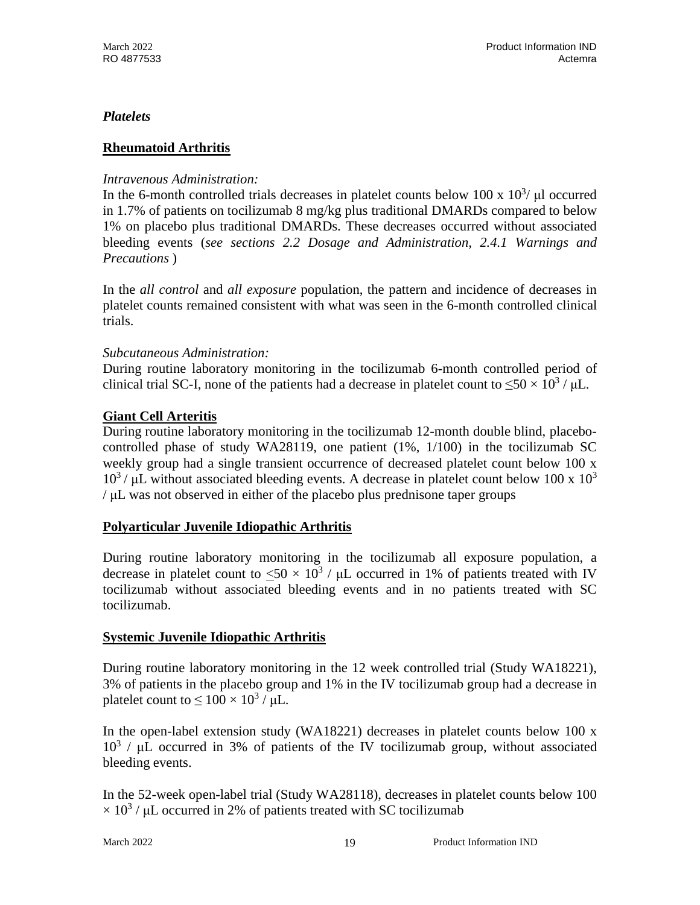## *Platelets*

## **Rheumatoid Arthritis**

## *Intravenous Administration:*

In the 6-month controlled trials decreases in platelet counts below 100 x  $10^3$ /  $\mu$ l occurred in 1.7% of patients on tocilizumab 8 mg/kg plus traditional DMARDs compared to below 1% on placebo plus traditional DMARDs. These decreases occurred without associated bleeding events (*see sections 2.2 Dosage and Administration, 2.4.1 Warnings and Precautions* )

In the *all control* and *all exposure* population, the pattern and incidence of decreases in platelet counts remained consistent with what was seen in the 6-month controlled clinical trials.

## *Subcutaneous Administration:*

During routine laboratory monitoring in the tocilizumab 6-month controlled period of clinical trial SC-I, none of the patients had a decrease in platelet count to  $\leq 50 \times 10^3$  /  $\mu$ L.

## **Giant Cell Arteritis**

During routine laboratory monitoring in the tocilizumab 12-month double blind, placebocontrolled phase of study WA28119, one patient  $(1\%, 1/100)$  in the tocilizumab SC weekly group had a single transient occurrence of decreased platelet count below 100 x  $10^3$  /  $\mu$ L without associated bleeding events. A decrease in platelet count below 100 x  $10^3$ / μL was not observed in either of the placebo plus prednisone taper groups

## **Polyarticular Juvenile Idiopathic Arthritis**

During routine laboratory monitoring in the tocilizumab all exposure population, a decrease in platelet count to  $\langle 50 \times 10^3 / \mu L$  occurred in 1% of patients treated with IV tocilizumab without associated bleeding events and in no patients treated with SC tocilizumab.

## **Systemic Juvenile Idiopathic Arthritis**

During routine laboratory monitoring in the 12 week controlled trial (Study WA18221), 3% of patients in the placebo group and 1% in the IV tocilizumab group had a decrease in platelet count to  $\leq 100 \times 10^3$  /  $\mu$ L.

In the open-label extension study (WA18221) decreases in platelet counts below 100 x  $10^3$  /  $\mu$ L occurred in 3% of patients of the IV tocilizumab group, without associated bleeding events.

In the 52-week open-label trial (Study WA28118), decreases in platelet counts below 100  $\times$  10<sup>3</sup> /  $\mu$ L occurred in 2% of patients treated with SC tocilizumab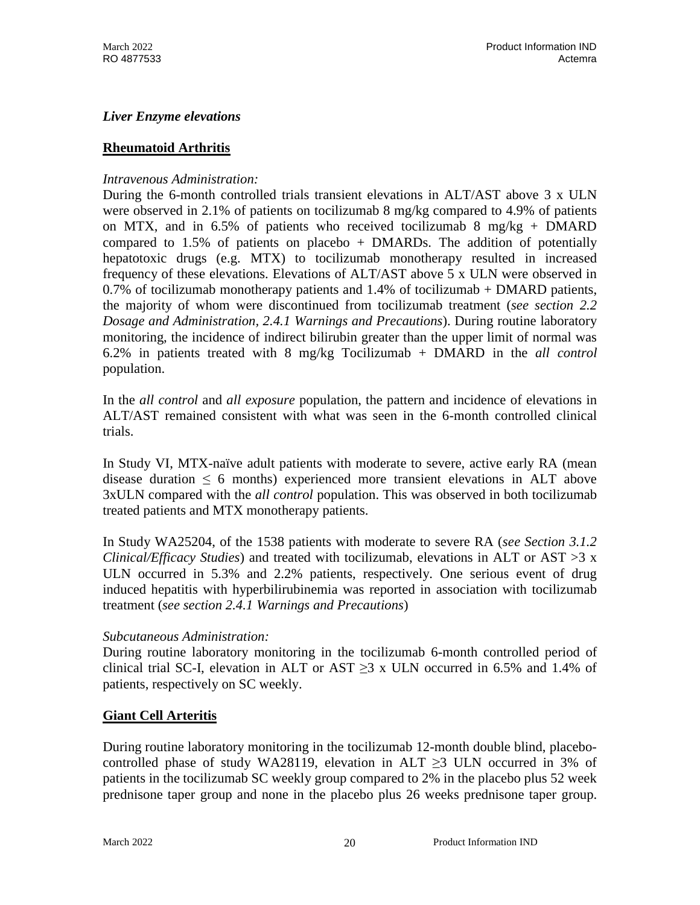## *Liver Enzyme elevations*

### **Rheumatoid Arthritis**

#### *Intravenous Administration:*

During the 6-month controlled trials transient elevations in ALT/AST above 3 x ULN were observed in 2.1% of patients on tocilizumab 8 mg/kg compared to 4.9% of patients on MTX, and in 6.5% of patients who received tocilizumab 8 mg/kg + DMARD compared to  $1.5\%$  of patients on placebo + DMARDs. The addition of potentially hepatotoxic drugs (e.g. MTX) to tocilizumab monotherapy resulted in increased frequency of these elevations. Elevations of ALT/AST above 5 x ULN were observed in 0.7% of tocilizumab monotherapy patients and 1.4% of tocilizumab + DMARD patients, the majority of whom were discontinued from tocilizumab treatment (*see section 2.2 Dosage and Administration, 2.4.1 Warnings and Precautions*). During routine laboratory monitoring, the incidence of indirect bilirubin greater than the upper limit of normal was 6.2% in patients treated with 8 mg/kg Tocilizumab + DMARD in the *all control* population.

In the *all control* and *all exposure* population, the pattern and incidence of elevations in ALT/AST remained consistent with what was seen in the 6-month controlled clinical trials.

In Study VI, MTX-naïve adult patients with moderate to severe, active early RA (mean disease duration  $\leq 6$  months) experienced more transient elevations in ALT above 3xULN compared with the *all control* population. This was observed in both tocilizumab treated patients and MTX monotherapy patients.

In Study WA25204, of the 1538 patients with moderate to severe RA (*see Section 3.1.2 Clinical/Efficacy Studies*) and treated with tocilizumab, elevations in ALT or AST >3 x ULN occurred in 5.3% and 2.2% patients, respectively. One serious event of drug induced hepatitis with hyperbilirubinemia was reported in association with tocilizumab treatment (*see section 2.4.1 Warnings and Precautions*)

#### *Subcutaneous Administration:*

During routine laboratory monitoring in the tocilizumab 6-month controlled period of clinical trial SC-I, elevation in ALT or AST  $\geq$ 3 x ULN occurred in 6.5% and 1.4% of patients, respectively on SC weekly.

#### **Giant Cell Arteritis**

During routine laboratory monitoring in the tocilizumab 12-month double blind, placebocontrolled phase of study WA28119, elevation in ALT ≥3 ULN occurred in 3% of patients in the tocilizumab SC weekly group compared to 2% in the placebo plus 52 week prednisone taper group and none in the placebo plus 26 weeks prednisone taper group.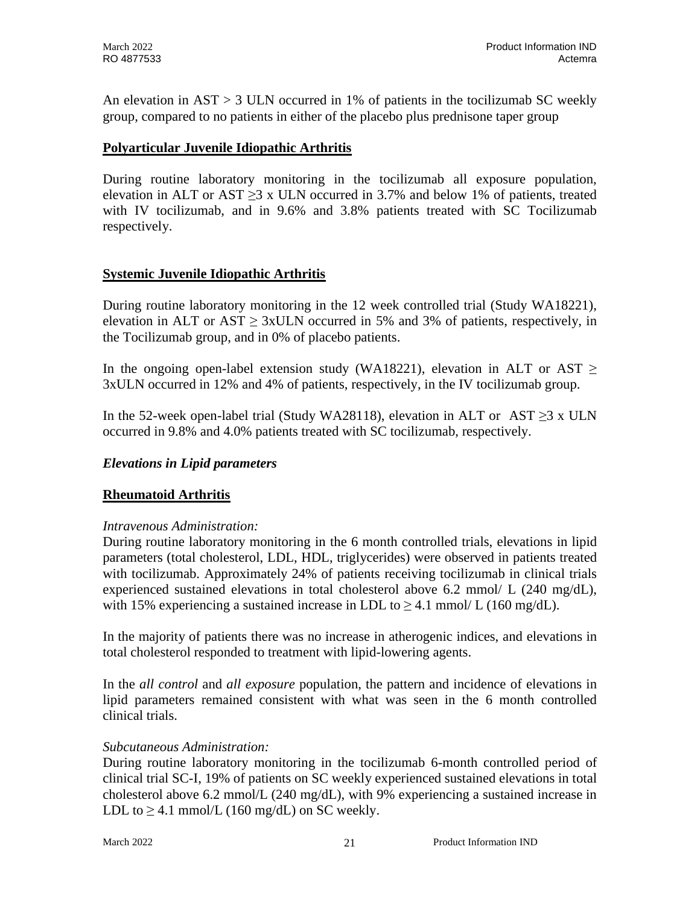An elevation in AST > 3 ULN occurred in 1% of patients in the tocilizumab SC weekly group, compared to no patients in either of the placebo plus prednisone taper group

## **Polyarticular Juvenile Idiopathic Arthritis**

During routine laboratory monitoring in the tocilizumab all exposure population, elevation in ALT or AST  $\geq$ 3 x ULN occurred in 3.7% and below 1% of patients, treated with IV tocilizumab, and in 9.6% and 3.8% patients treated with SC Tocilizumab respectively.

### **Systemic Juvenile Idiopathic Arthritis**

During routine laboratory monitoring in the 12 week controlled trial (Study WA18221), elevation in ALT or AST  $\geq$  3xULN occurred in 5% and 3% of patients, respectively, in the Tocilizumab group, and in 0% of placebo patients.

In the ongoing open-label extension study (WA18221), elevation in ALT or AST  $\geq$ 3xULN occurred in 12% and 4% of patients, respectively, in the IV tocilizumab group.

In the 52-week open-label trial (Study WA28118), elevation in ALT or AST ≥3 x ULN occurred in 9.8% and 4.0% patients treated with SC tocilizumab, respectively.

## *Elevations in Lipid parameters*

## **Rheumatoid Arthritis**

#### *Intravenous Administration:*

During routine laboratory monitoring in the 6 month controlled trials, elevations in lipid parameters (total cholesterol, LDL, HDL, triglycerides) were observed in patients treated with tocilizumab. Approximately 24% of patients receiving tocilizumab in clinical trials experienced sustained elevations in total cholesterol above 6.2 mmol/ L (240 mg/dL), with 15% experiencing a sustained increase in LDL to  $> 4.1$  mmol/ L (160 mg/dL).

In the majority of patients there was no increase in atherogenic indices, and elevations in total cholesterol responded to treatment with lipid-lowering agents.

In the *all control* and *all exposure* population, the pattern and incidence of elevations in lipid parameters remained consistent with what was seen in the 6 month controlled clinical trials.

#### *Subcutaneous Administration:*

During routine laboratory monitoring in the tocilizumab 6-month controlled period of clinical trial SC-I, 19% of patients on SC weekly experienced sustained elevations in total cholesterol above 6.2 mmol/L (240 mg/dL), with 9% experiencing a sustained increase in LDL to  $\geq$  4.1 mmol/L (160 mg/dL) on SC weekly.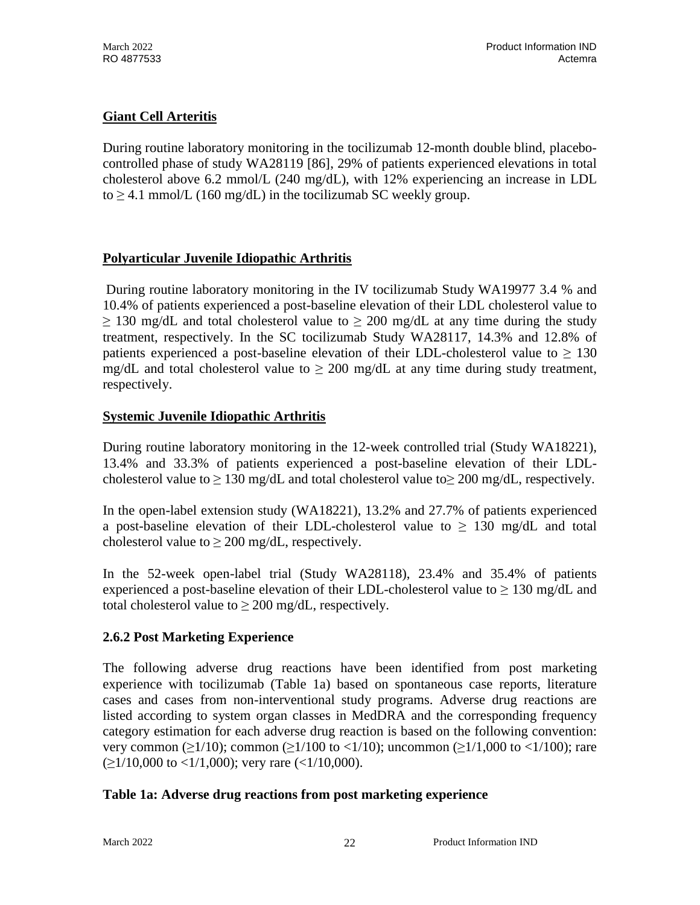## **Giant Cell Arteritis**

During routine laboratory monitoring in the tocilizumab 12-month double blind, placebocontrolled phase of study WA28119 [86], 29% of patients experienced elevations in total cholesterol above 6.2 mmol/L (240 mg/dL), with 12% experiencing an increase in LDL to  $\geq$  4.1 mmol/L (160 mg/dL) in the tocilizumab SC weekly group.

## **Polyarticular Juvenile Idiopathic Arthritis**

During routine laboratory monitoring in the IV tocilizumab Study WA19977 3.4 % and 10.4% of patients experienced a post-baseline elevation of their LDL cholesterol value to  $\geq$  130 mg/dL and total cholesterol value to  $\geq$  200 mg/dL at any time during the study treatment, respectively. In the SC tocilizumab Study WA28117, 14.3% and 12.8% of patients experienced a post-baseline elevation of their LDL-cholesterol value to  $\geq 130$ mg/dL and total cholesterol value to  $\geq 200$  mg/dL at any time during study treatment, respectively.

## **Systemic Juvenile Idiopathic Arthritis**

During routine laboratory monitoring in the 12-week controlled trial (Study WA18221), 13.4% and 33.3% of patients experienced a post-baseline elevation of their LDLcholesterol value to  $\geq 130$  mg/dL and total cholesterol value to  $\geq 200$  mg/dL, respectively.

In the open-label extension study (WA18221), 13.2% and 27.7% of patients experienced a post-baseline elevation of their LDL-cholesterol value to  $\geq$  130 mg/dL and total cholesterol value to  $\geq 200$  mg/dL, respectively.

In the 52-week open-label trial (Study WA28118), 23.4% and 35.4% of patients experienced a post-baseline elevation of their LDL-cholesterol value to  $\geq 130$  mg/dL and total cholesterol value to  $> 200$  mg/dL, respectively.

## **2.6.2 Post Marketing Experience**

The following adverse drug reactions have been identified from post marketing experience with tocilizumab (Table 1a) based on spontaneous case reports, literature cases and cases from non-interventional study programs. Adverse drug reactions are listed according to system organ classes in MedDRA and the corresponding frequency category estimation for each adverse drug reaction is based on the following convention: very common ( $\geq$ 1/10); common ( $\geq$ 1/100 to <1/10); uncommon ( $\geq$ 1/1,000 to <1/100); rare  $(>1/10,000$  to  $<1/1,000$ ; very rare  $(<1/10,000)$ .

## **Table 1a: Adverse drug reactions from post marketing experience**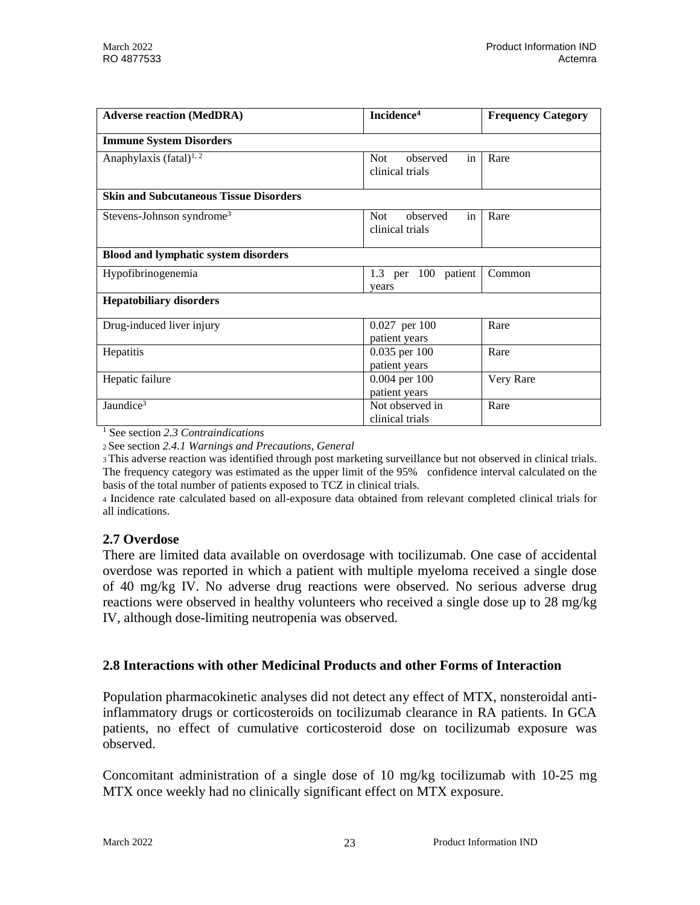| <b>Adverse reaction (MedDRA)</b>              | Incidence <sup>4</sup>                     | <b>Frequency Category</b> |
|-----------------------------------------------|--------------------------------------------|---------------------------|
| <b>Immune System Disorders</b>                |                                            |                           |
| Anaphylaxis (fatal) <sup>1, 2</sup>           | in<br>Not<br>observed<br>clinical trials   | Rare                      |
| <b>Skin and Subcutaneous Tissue Disorders</b> |                                            |                           |
| Stevens-Johnson syndrome <sup>3</sup>         | in<br>Not.<br>observed<br>clinical trials  | Rare                      |
| <b>Blood and lymphatic system disorders</b>   |                                            |                           |
| Hypofibrinogenemia                            | 1.3 per 100 patient<br>years               | Common                    |
| <b>Hepatobiliary disorders</b>                |                                            |                           |
| Drug-induced liver injury                     | 0.027 per 100<br>patient years             | Rare                      |
| Hepatitis                                     | $0.035$ per 100<br>patient years           | Rare                      |
| Hepatic failure                               | 0.004 per 100<br>patient years             | Very Rare                 |
| Jaundice <sup>3</sup>                         | Not observed in<br>Rare<br>clinical trials |                           |

<sup>1</sup> See section *2.3 Contraindications*

<sup>2</sup> See section *2.4.1 Warnings and Precautions, General*

<sup>3</sup> This adverse reaction was identified through post marketing surveillance but not observed in clinical trials. The frequency category was estimated as the upper limit of the 95% confidence interval calculated on the basis of the total number of patients exposed to TCZ in clinical trials.

<sup>4</sup> Incidence rate calculated based on all-exposure data obtained from relevant completed clinical trials for all indications.

## **2.7 Overdose**

There are limited data available on overdosage with tocilizumab. One case of accidental overdose was reported in which a patient with multiple myeloma received a single dose of 40 mg/kg IV. No adverse drug reactions were observed. No serious adverse drug reactions were observed in healthy volunteers who received a single dose up to 28 mg/kg IV, although dose-limiting neutropenia was observed.

## **2.8 Interactions with other Medicinal Products and other Forms of Interaction**

Population pharmacokinetic analyses did not detect any effect of MTX, nonsteroidal antiinflammatory drugs or corticosteroids on tocilizumab clearance in RA patients. In GCA patients, no effect of cumulative corticosteroid dose on tocilizumab exposure was observed.

Concomitant administration of a single dose of 10 mg/kg tocilizumab with 10-25 mg MTX once weekly had no clinically significant effect on MTX exposure.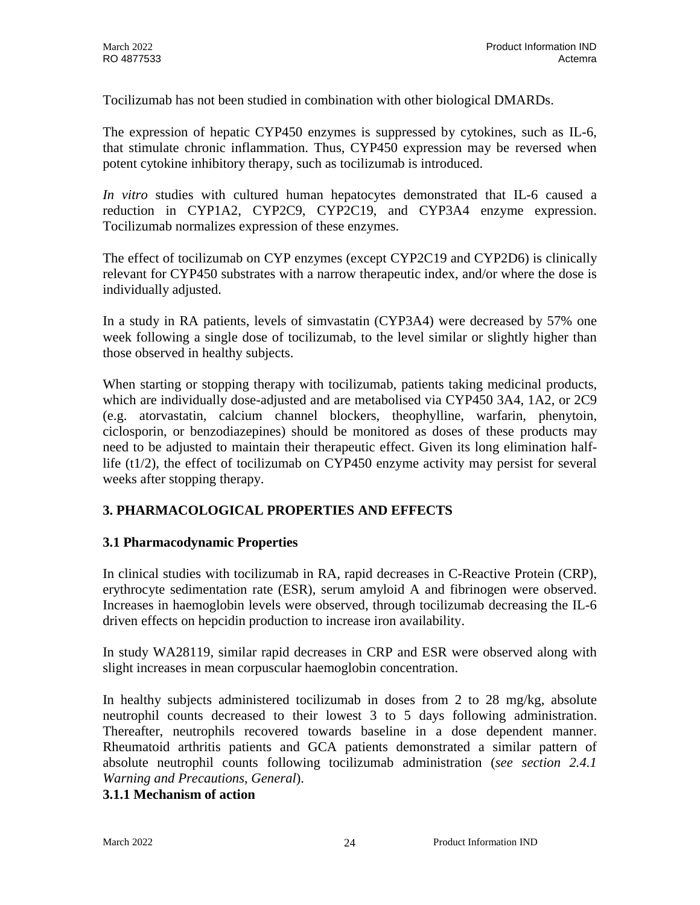Tocilizumab has not been studied in combination with other biological DMARDs.

The expression of hepatic CYP450 enzymes is suppressed by cytokines, such as IL-6, that stimulate chronic inflammation. Thus, CYP450 expression may be reversed when potent cytokine inhibitory therapy, such as tocilizumab is introduced.

*In vitro* studies with cultured human hepatocytes demonstrated that IL-6 caused a reduction in CYP1A2, CYP2C9, CYP2C19, and CYP3A4 enzyme expression. Tocilizumab normalizes expression of these enzymes.

The effect of tocilizumab on CYP enzymes (except CYP2C19 and CYP2D6) is clinically relevant for CYP450 substrates with a narrow therapeutic index, and/or where the dose is individually adjusted.

In a study in RA patients, levels of simvastatin (CYP3A4) were decreased by 57% one week following a single dose of tocilizumab, to the level similar or slightly higher than those observed in healthy subjects.

When starting or stopping therapy with tocilizumab, patients taking medicinal products, which are individually dose-adjusted and are metabolised via CYP450 3A4, 1A2, or 2C9 (e.g. atorvastatin, calcium channel blockers, theophylline, warfarin, phenytoin, ciclosporin, or benzodiazepines) should be monitored as doses of these products may need to be adjusted to maintain their therapeutic effect. Given its long elimination halflife (t1/2), the effect of tocilizumab on CYP450 enzyme activity may persist for several weeks after stopping therapy.

## **3. PHARMACOLOGICAL PROPERTIES AND EFFECTS**

## **3.1 Pharmacodynamic Properties**

In clinical studies with tocilizumab in RA, rapid decreases in C-Reactive Protein (CRP), erythrocyte sedimentation rate (ESR), serum amyloid A and fibrinogen were observed. Increases in haemoglobin levels were observed, through tocilizumab decreasing the IL-6 driven effects on hepcidin production to increase iron availability.

In study WA28119, similar rapid decreases in CRP and ESR were observed along with slight increases in mean corpuscular haemoglobin concentration.

In healthy subjects administered tocilizumab in doses from 2 to 28 mg/kg, absolute neutrophil counts decreased to their lowest 3 to 5 days following administration. Thereafter, neutrophils recovered towards baseline in a dose dependent manner. Rheumatoid arthritis patients and GCA patients demonstrated a similar pattern of absolute neutrophil counts following tocilizumab administration (*see section 2.4.1 Warning and Precautions, General*).

#### **3.1.1 Mechanism of action**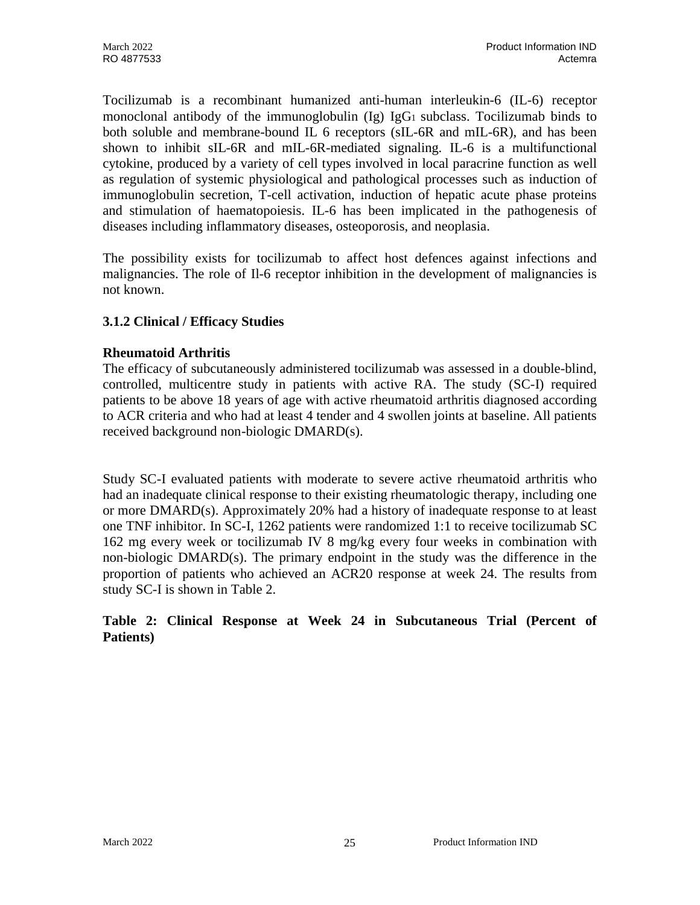Tocilizumab is a recombinant humanized anti-human interleukin-6 (IL-6) receptor monoclonal antibody of the immunoglobulin  $(Ig)$  IgG<sub>1</sub> subclass. To cilizumab binds to both soluble and membrane-bound IL 6 receptors (sIL-6R and mIL-6R), and has been shown to inhibit sIL-6R and mIL-6R-mediated signaling. IL-6 is a multifunctional cytokine, produced by a variety of cell types involved in local paracrine function as well as regulation of systemic physiological and pathological processes such as induction of immunoglobulin secretion, T-cell activation, induction of hepatic acute phase proteins and stimulation of haematopoiesis. IL-6 has been implicated in the pathogenesis of diseases including inflammatory diseases, osteoporosis, and neoplasia.

The possibility exists for tocilizumab to affect host defences against infections and malignancies. The role of Il-6 receptor inhibition in the development of malignancies is not known.

## **3.1.2 Clinical / Efficacy Studies**

## **Rheumatoid Arthritis**

The efficacy of subcutaneously administered tocilizumab was assessed in a double-blind, controlled, multicentre study in patients with active RA. The study (SC-I) required patients to be above 18 years of age with active rheumatoid arthritis diagnosed according to ACR criteria and who had at least 4 tender and 4 swollen joints at baseline. All patients received background non-biologic DMARD(s).

Study SC-I evaluated patients with moderate to severe active rheumatoid arthritis who had an inadequate clinical response to their existing rheumatologic therapy, including one or more DMARD(s). Approximately 20% had a history of inadequate response to at least one TNF inhibitor. In SC-I, 1262 patients were randomized 1:1 to receive tocilizumab SC 162 mg every week or tocilizumab IV 8 mg/kg every four weeks in combination with non-biologic DMARD(s). The primary endpoint in the study was the difference in the proportion of patients who achieved an ACR20 response at week 24. The results from study SC-I is shown in Table 2.

### **Table 2: Clinical Response at Week 24 in Subcutaneous Trial (Percent of Patients)**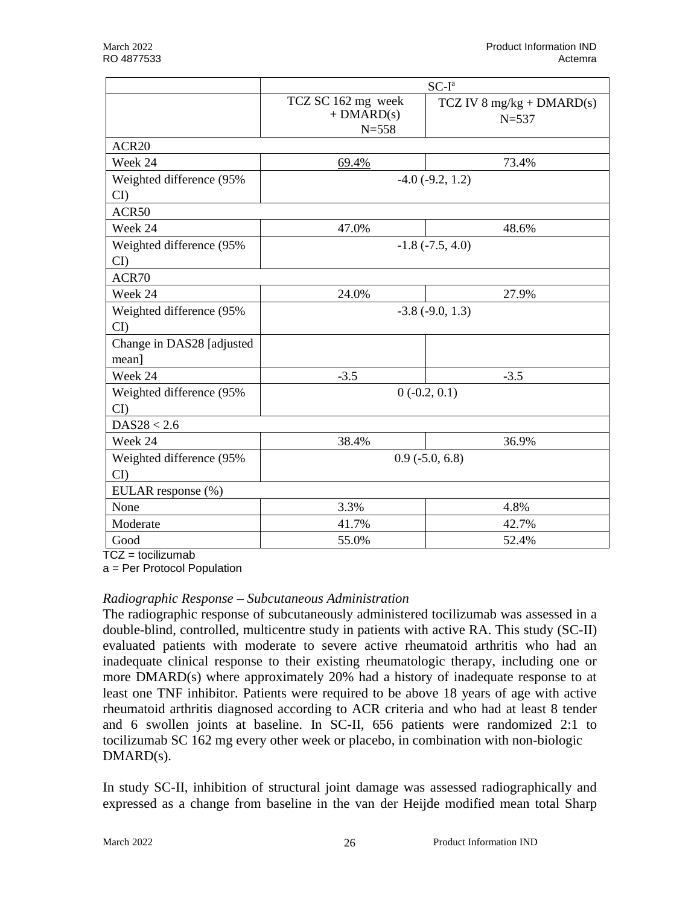|                            | $SC-Ia$                                         |                                          |  |
|----------------------------|-------------------------------------------------|------------------------------------------|--|
|                            | TCZ SC 162 mg week<br>$+$ DMARD(s)<br>$N = 558$ | TCZ IV 8 mg/kg + $DMARD(s)$<br>$N = 537$ |  |
| ACR <sub>20</sub>          |                                                 |                                          |  |
| Week 24                    | 69.4%                                           | 73.4%                                    |  |
| Weighted difference (95%   |                                                 | $-4.0$ $(-9.2, 1.2)$                     |  |
| CI                         |                                                 |                                          |  |
| ACR50                      |                                                 |                                          |  |
| Week 24                    | 47.0%                                           | 48.6%                                    |  |
| Weighted difference (95%   |                                                 | $-1.8$ $(-7.5, 4.0)$                     |  |
| CI                         |                                                 |                                          |  |
| ACR70                      |                                                 |                                          |  |
| Week 24                    | 24.0%                                           | 27.9%                                    |  |
| Weighted difference (95%   |                                                 | $-3.8$ $(-9.0, 1.3)$                     |  |
| CI                         |                                                 |                                          |  |
| Change in DAS28 [adjusted] |                                                 |                                          |  |
| mean]                      |                                                 |                                          |  |
| Week 24                    | $-3.5$                                          | $-3.5$                                   |  |
| Weighted difference (95%   |                                                 | $0(-0.2, 0.1)$                           |  |
| CI                         |                                                 |                                          |  |
| DAS28 < 2.6                |                                                 |                                          |  |
| Week 24                    | 38.4%                                           | 36.9%                                    |  |
| Weighted difference (95%   | $0.9$ ( $-5.0, 6.8$ )                           |                                          |  |
| CI                         |                                                 |                                          |  |
| EULAR response (%)         |                                                 |                                          |  |
| None                       | 3.3%                                            | 4.8%                                     |  |
| Moderate                   | 41.7%                                           | 42.7%                                    |  |
| Good                       | 55.0%                                           | 52.4%                                    |  |

 $TCZ =$  tocilizumab

a = Per Protocol Population

#### *Radiographic Response – Subcutaneous Administration*

The radiographic response of subcutaneously administered tocilizumab was assessed in a double-blind, controlled, multicentre study in patients with active RA. This study (SC-II) evaluated patients with moderate to severe active rheumatoid arthritis who had an inadequate clinical response to their existing rheumatologic therapy, including one or more DMARD(s) where approximately 20% had a history of inadequate response to at least one TNF inhibitor. Patients were required to be above 18 years of age with active rheumatoid arthritis diagnosed according to ACR criteria and who had at least 8 tender and 6 swollen joints at baseline. In SC-II, 656 patients were randomized 2:1 to tocilizumab SC 162 mg every other week or placebo, in combination with non-biologic DMARD(s).

In study SC-II, inhibition of structural joint damage was assessed radiographically and expressed as a change from baseline in the van der Heijde modified mean total Sharp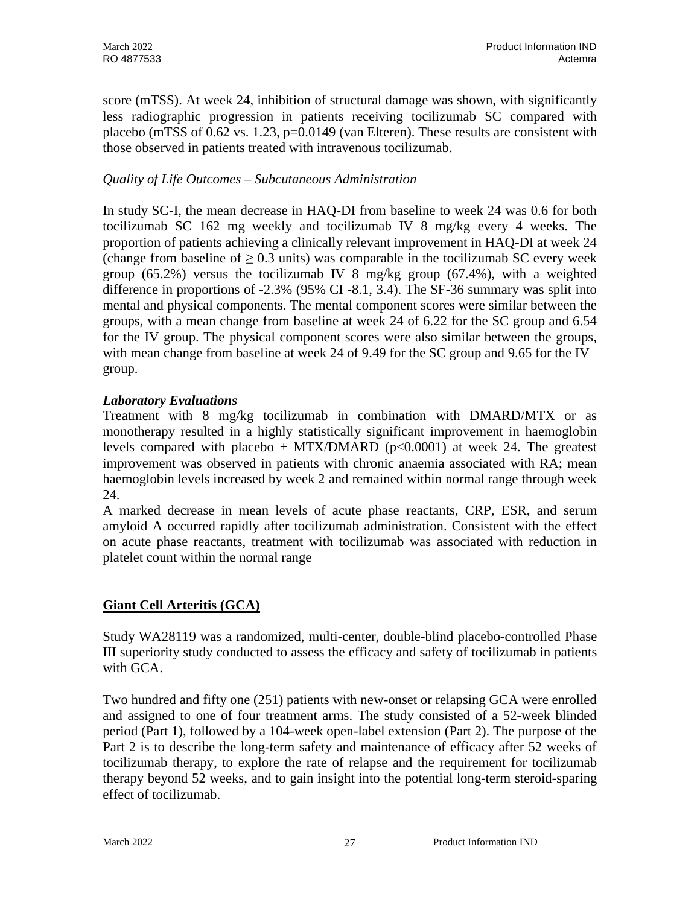score (mTSS). At week 24, inhibition of structural damage was shown, with significantly less radiographic progression in patients receiving tocilizumab SC compared with placebo (mTSS of 0.62 vs. 1.23, p=0.0149 (van Elteren). These results are consistent with those observed in patients treated with intravenous tocilizumab.

## *Quality of Life Outcomes – Subcutaneous Administration*

In study SC-I, the mean decrease in HAQ-DI from baseline to week 24 was 0.6 for both tocilizumab SC 162 mg weekly and tocilizumab IV 8 mg/kg every 4 weeks. The proportion of patients achieving a clinically relevant improvement in HAQ-DI at week 24 (change from baseline of  $> 0.3$  units) was comparable in the tocilizumab SC every week group (65.2%) versus the tocilizumab IV 8 mg/kg group (67.4%), with a weighted difference in proportions of -2.3% (95% CI -8.1, 3.4). The SF-36 summary was split into mental and physical components. The mental component scores were similar between the groups, with a mean change from baseline at week 24 of 6.22 for the SC group and 6.54 for the IV group. The physical component scores were also similar between the groups, with mean change from baseline at week 24 of 9.49 for the SC group and 9.65 for the IV group.

## *Laboratory Evaluations*

Treatment with 8 mg/kg tocilizumab in combination with DMARD/MTX or as monotherapy resulted in a highly statistically significant improvement in haemoglobin levels compared with placebo + MTX/DMARD ( $p<0.0001$ ) at week 24. The greatest improvement was observed in patients with chronic anaemia associated with RA; mean haemoglobin levels increased by week 2 and remained within normal range through week 24.

A marked decrease in mean levels of acute phase reactants, CRP, ESR, and serum amyloid A occurred rapidly after tocilizumab administration. Consistent with the effect on acute phase reactants, treatment with tocilizumab was associated with reduction in platelet count within the normal range

## **Giant Cell Arteritis (GCA)**

Study WA28119 was a randomized, multi-center, double-blind placebo-controlled Phase III superiority study conducted to assess the efficacy and safety of tocilizumab in patients with GCA.

Two hundred and fifty one (251) patients with new-onset or relapsing GCA were enrolled and assigned to one of four treatment arms. The study consisted of a 52-week blinded period (Part 1), followed by a 104-week open-label extension (Part 2). The purpose of the Part 2 is to describe the long-term safety and maintenance of efficacy after 52 weeks of tocilizumab therapy, to explore the rate of relapse and the requirement for tocilizumab therapy beyond 52 weeks, and to gain insight into the potential long-term steroid-sparing effect of tocilizumab.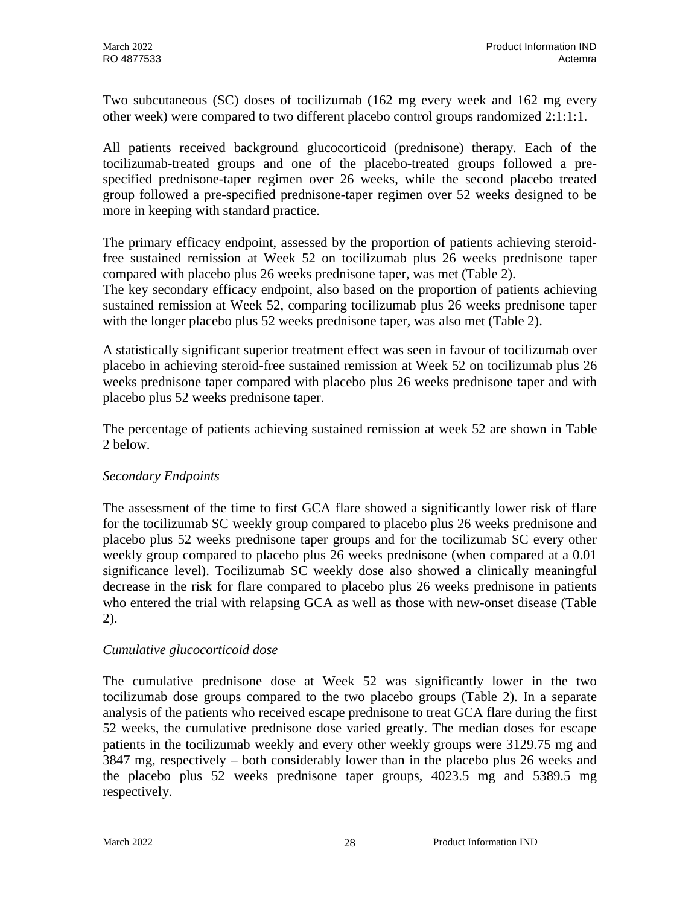Two subcutaneous (SC) doses of tocilizumab (162 mg every week and 162 mg every other week) were compared to two different placebo control groups randomized 2:1:1:1.

All patients received background glucocorticoid (prednisone) therapy. Each of the tocilizumab-treated groups and one of the placebo-treated groups followed a prespecified prednisone-taper regimen over 26 weeks, while the second placebo treated group followed a pre-specified prednisone-taper regimen over 52 weeks designed to be more in keeping with standard practice.

The primary efficacy endpoint, assessed by the proportion of patients achieving steroidfree sustained remission at Week 52 on tocilizumab plus 26 weeks prednisone taper compared with placebo plus 26 weeks prednisone taper, was met (Table 2).

The key secondary efficacy endpoint, also based on the proportion of patients achieving sustained remission at Week 52, comparing tocilizumab plus 26 weeks prednisone taper with the longer placebo plus 52 weeks prednisone taper, was also met (Table 2).

A statistically significant superior treatment effect was seen in favour of tocilizumab over placebo in achieving steroid-free sustained remission at Week 52 on tocilizumab plus 26 weeks prednisone taper compared with placebo plus 26 weeks prednisone taper and with placebo plus 52 weeks prednisone taper.

The percentage of patients achieving sustained remission at week 52 are shown in Table 2 below.

## *Secondary Endpoints*

The assessment of the time to first GCA flare showed a significantly lower risk of flare for the tocilizumab SC weekly group compared to placebo plus 26 weeks prednisone and placebo plus 52 weeks prednisone taper groups and for the tocilizumab SC every other weekly group compared to placebo plus 26 weeks prednisone (when compared at a 0.01 significance level). Tocilizumab SC weekly dose also showed a clinically meaningful decrease in the risk for flare compared to placebo plus 26 weeks prednisone in patients who entered the trial with relapsing GCA as well as those with new-onset disease (Table 2).

## *Cumulative glucocorticoid dose*

The cumulative prednisone dose at Week 52 was significantly lower in the two tocilizumab dose groups compared to the two placebo groups (Table 2). In a separate analysis of the patients who received escape prednisone to treat GCA flare during the first 52 weeks, the cumulative prednisone dose varied greatly. The median doses for escape patients in the tocilizumab weekly and every other weekly groups were 3129.75 mg and 3847 mg, respectively – both considerably lower than in the placebo plus 26 weeks and the placebo plus 52 weeks prednisone taper groups, 4023.5 mg and 5389.5 mg respectively.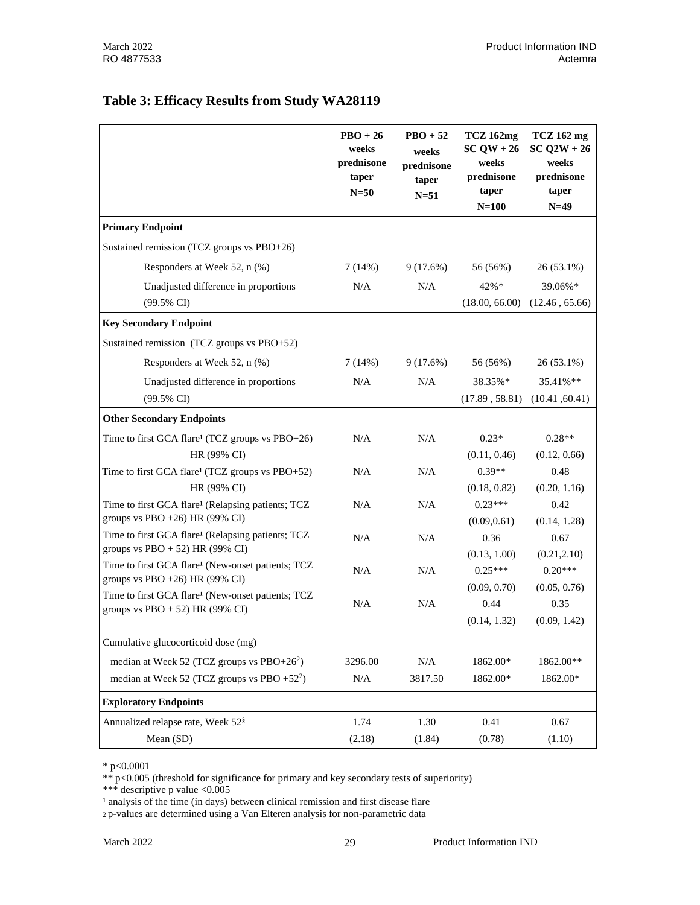### **Table 3: Efficacy Results from Study WA28119**

|                                                                                                     | $PBO + 26$<br>weeks<br>prednisone<br>taper<br>$N=50$ | $\text{PBO} + 52$<br>weeks<br>prednisone<br>taper<br>$N=51$ | <b>TCZ</b> 162mg<br>$SCQW + 26$<br>weeks<br>prednisone<br>taper<br>$N=100$ | TCZ 162 mg<br>$SC$ $Q2W + 26$<br>weeks<br>prednisone<br>taper<br>$N=49$ |
|-----------------------------------------------------------------------------------------------------|------------------------------------------------------|-------------------------------------------------------------|----------------------------------------------------------------------------|-------------------------------------------------------------------------|
| <b>Primary Endpoint</b>                                                                             |                                                      |                                                             |                                                                            |                                                                         |
| Sustained remission (TCZ groups vs PBO+26)                                                          |                                                      |                                                             |                                                                            |                                                                         |
| Responders at Week 52, n (%)                                                                        | 7(14%)                                               | 9(17.6%)                                                    | 56 (56%)                                                                   | $26(53.1\%)$                                                            |
| Unadjusted difference in proportions                                                                | N/A                                                  | N/A                                                         | $42\% *$                                                                   | 39.06%*                                                                 |
| $(99.5\% \text{ CI})$                                                                               |                                                      |                                                             | (18.00, 66.00)                                                             | (12.46, 65.66)                                                          |
| <b>Key Secondary Endpoint</b>                                                                       |                                                      |                                                             |                                                                            |                                                                         |
| Sustained remission (TCZ groups vs PBO+52)                                                          |                                                      |                                                             |                                                                            |                                                                         |
| Responders at Week 52, n (%)                                                                        | 7(14%)                                               | 9(17.6%)                                                    | 56 (56%)                                                                   | 26 (53.1%)                                                              |
| Unadjusted difference in proportions                                                                | N/A                                                  | N/A                                                         | 38.35%*                                                                    | 35.41%**                                                                |
| $(99.5\% \text{ CI})$                                                                               |                                                      |                                                             | (17.89, 58.81)                                                             | (10.41, 60.41)                                                          |
| <b>Other Secondary Endpoints</b>                                                                    |                                                      |                                                             |                                                                            |                                                                         |
| Time to first GCA flare <sup>1</sup> (TCZ groups vs PBO+26)                                         | N/A                                                  | N/A                                                         | $0.23*$                                                                    | $0.28**$                                                                |
| HR (99% CI)                                                                                         |                                                      |                                                             | (0.11, 0.46)                                                               | (0.12, 0.66)                                                            |
| Time to first GCA flare <sup>1</sup> (TCZ groups vs PBO+52)                                         | N/A                                                  | N/A                                                         | $0.39**$                                                                   | 0.48                                                                    |
| HR (99% CI)                                                                                         |                                                      |                                                             | (0.18, 0.82)                                                               | (0.20, 1.16)                                                            |
| Time to first GCA flare <sup>1</sup> (Relapsing patients; TCZ                                       | N/A                                                  | N/A                                                         | $0.23***$                                                                  | 0.42                                                                    |
| groups vs PBO +26) HR (99% CI)                                                                      |                                                      |                                                             | (0.09, 0.61)                                                               | (0.14, 1.28)                                                            |
| Time to first GCA flare <sup>1</sup> (Relapsing patients; TCZ<br>groups vs $PBO + 52$ ) HR (99% CI) | N/A                                                  | N/A                                                         | 0.36                                                                       | 0.67                                                                    |
| Time to first GCA flare <sup>1</sup> (New-onset patients; TCZ                                       |                                                      |                                                             | (0.13, 1.00)                                                               | (0.21, 2.10)                                                            |
| groups vs PBO $+26$ ) HR (99% CI)                                                                   | N/A                                                  | N/A                                                         | $0.25***$                                                                  | $0.20***$                                                               |
| Time to first GCA flare <sup>1</sup> (New-onset patients; TCZ                                       |                                                      |                                                             | (0.09, 0.70)                                                               | (0.05, 0.76)                                                            |
| groups vs $PBO + 52$ ) HR (99% CI)                                                                  | N/A                                                  | N/A                                                         | 0.44                                                                       | 0.35                                                                    |
|                                                                                                     |                                                      |                                                             | (0.14, 1.32)                                                               | (0.09, 1.42)                                                            |
| Cumulative glucocorticoid dose (mg)                                                                 |                                                      |                                                             |                                                                            |                                                                         |
| median at Week 52 (TCZ groups vs $PBO+262$ )                                                        | 3296.00                                              | N/A                                                         | 1862.00*                                                                   | 1862.00**                                                               |
| median at Week 52 (TCZ groups vs PBO +52 <sup>2</sup> )                                             | $\rm N/A$                                            | 3817.50                                                     | 1862.00*                                                                   | 1862.00*                                                                |
| <b>Exploratory Endpoints</b>                                                                        |                                                      |                                                             |                                                                            |                                                                         |
| Annualized relapse rate, Week 52 <sup>§</sup>                                                       | 1.74                                                 | 1.30                                                        | 0.41                                                                       | 0.67                                                                    |
| Mean (SD)                                                                                           | (2.18)                                               | (1.84)                                                      | (0.78)                                                                     | (1.10)                                                                  |

\* p<0.0001

\*\* p<0.005 (threshold for significance for primary and key secondary tests of superiority)

\*\*\* descriptive p value <0.005

 $\frac{1}{2}$  analysis of the time (in days) between clinical remission and first disease flare

<sup>2</sup> p-values are determined using a Van Elteren analysis for non-parametric data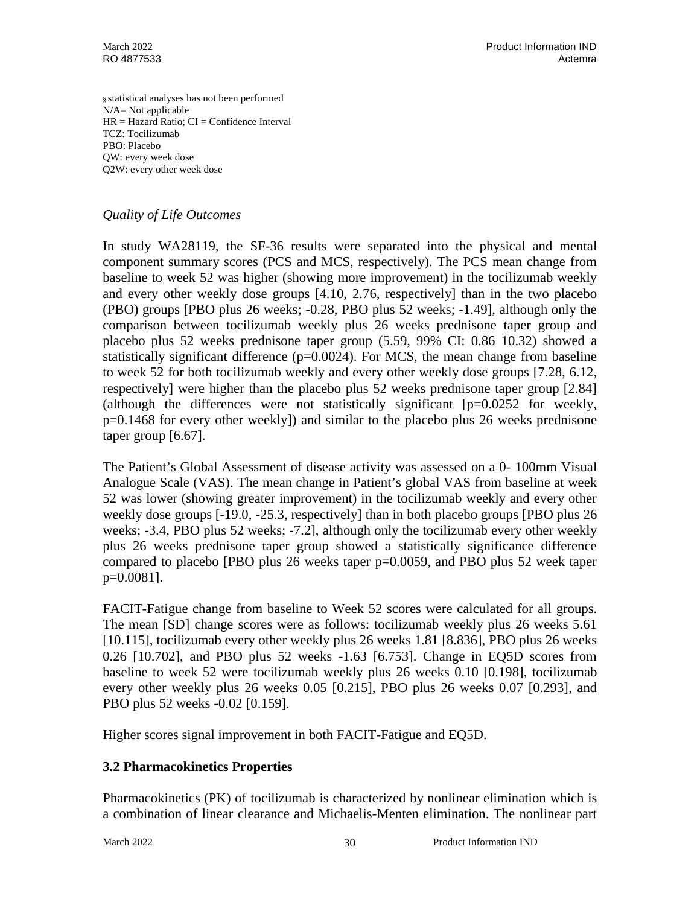§ statistical analyses has not been performed N/A= Not applicable  $HR = Hazard Ratio$ ;  $CI = Confidence Interval$ TCZ: Tocilizumab PBO: Placebo QW: every week dose Q2W: every other week dose

### *Quality of Life Outcomes*

In study WA28119, the SF-36 results were separated into the physical and mental component summary scores (PCS and MCS, respectively). The PCS mean change from baseline to week 52 was higher (showing more improvement) in the tocilizumab weekly and every other weekly dose groups [4.10, 2.76, respectively] than in the two placebo (PBO) groups [PBO plus 26 weeks; -0.28, PBO plus 52 weeks; -1.49], although only the comparison between tocilizumab weekly plus 26 weeks prednisone taper group and placebo plus 52 weeks prednisone taper group (5.59, 99% CI: 0.86 10.32) showed a statistically significant difference  $(p=0.0024)$ . For MCS, the mean change from baseline to week 52 for both tocilizumab weekly and every other weekly dose groups [7.28, 6.12, respectively] were higher than the placebo plus 52 weeks prednisone taper group [2.84] (although the differences were not statistically significant  $[p=0.0252$  for weekly, p=0.1468 for every other weekly]) and similar to the placebo plus 26 weeks prednisone taper group [6.67].

The Patient's Global Assessment of disease activity was assessed on a 0- 100mm Visual Analogue Scale (VAS). The mean change in Patient's global VAS from baseline at week 52 was lower (showing greater improvement) in the tocilizumab weekly and every other weekly dose groups [-19.0, -25.3, respectively] than in both placebo groups [PBO plus 26 weeks; -3.4, PBO plus 52 weeks; -7.2], although only the tocilizumab every other weekly plus 26 weeks prednisone taper group showed a statistically significance difference compared to placebo [PBO plus 26 weeks taper p=0.0059, and PBO plus 52 week taper p=0.0081].

FACIT-Fatigue change from baseline to Week 52 scores were calculated for all groups. The mean [SD] change scores were as follows: tocilizumab weekly plus 26 weeks 5.61 [10.115], tocilizumab every other weekly plus 26 weeks 1.81 [8.836], PBO plus 26 weeks 0.26 [10.702], and PBO plus 52 weeks -1.63 [6.753]. Change in EQ5D scores from baseline to week 52 were tocilizumab weekly plus 26 weeks 0.10 [0.198], tocilizumab every other weekly plus 26 weeks 0.05 [0.215], PBO plus 26 weeks 0.07 [0.293], and PBO plus 52 weeks -0.02 [0.159].

Higher scores signal improvement in both FACIT-Fatigue and EQ5D.

## **3.2 Pharmacokinetics Properties**

Pharmacokinetics (PK) of tocilizumab is characterized by nonlinear elimination which is a combination of linear clearance and Michaelis-Menten elimination. The nonlinear part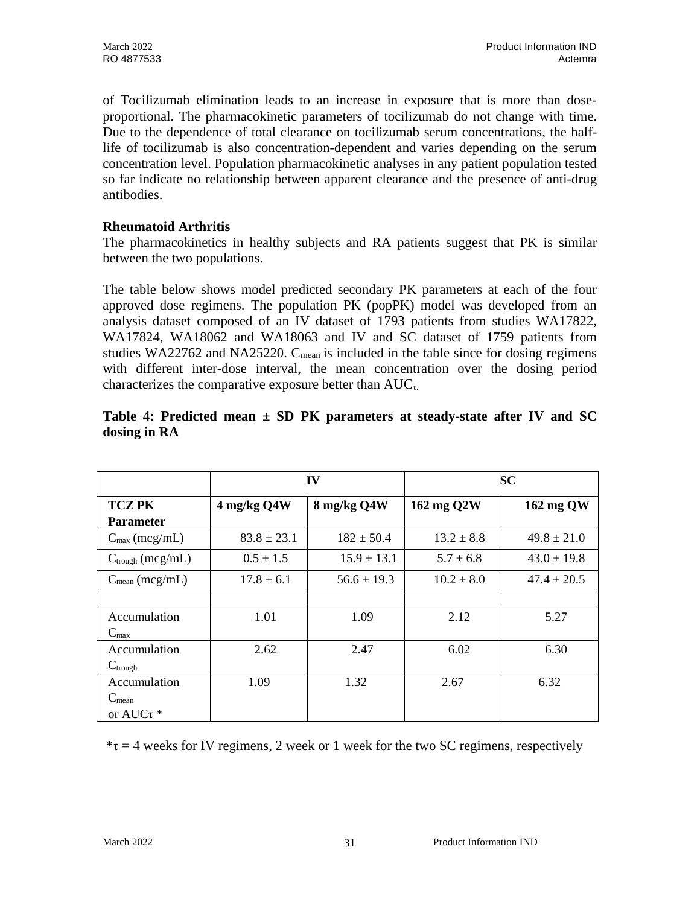of Tocilizumab elimination leads to an increase in exposure that is more than doseproportional. The pharmacokinetic parameters of tocilizumab do not change with time. Due to the dependence of total clearance on tocilizumab serum concentrations, the halflife of tocilizumab is also concentration-dependent and varies depending on the serum concentration level. Population pharmacokinetic analyses in any patient population tested so far indicate no relationship between apparent clearance and the presence of anti-drug antibodies.

### **Rheumatoid Arthritis**

The pharmacokinetics in healthy subjects and RA patients suggest that PK is similar between the two populations.

The table below shows model predicted secondary PK parameters at each of the four approved dose regimens. The population PK (popPK) model was developed from an analysis dataset composed of an IV dataset of 1793 patients from studies WA17822, WA17824, WA18062 and WA18063 and IV and SC dataset of 1759 patients from studies WA22762 and NA25220.  $C_{mean}$  is included in the table since for dosing regimens with different inter-dose interval, the mean concentration over the dosing period characterizes the comparative exposure better than  $AUC_{\tau}$ .

|                              | IV              |                 |                | <b>SC</b>       |
|------------------------------|-----------------|-----------------|----------------|-----------------|
| <b>TCZ PK</b>                | 4 mg/kg Q4W     | 8 mg/kg Q4W     | 162 mg Q2W     | 162 mg QW       |
| <b>Parameter</b>             |                 |                 |                |                 |
| $C_{\text{max}}$ (mcg/mL)    | $83.8 \pm 23.1$ | $182 \pm 50.4$  | $13.2 \pm 8.8$ | $49.8 \pm 21.0$ |
| $C_{\text{trough}}$ (mcg/mL) | $0.5 \pm 1.5$   | $15.9 \pm 13.1$ | $5.7 \pm 6.8$  | $43.0 \pm 19.8$ |
| $C_{mean}$ (mcg/mL)          | $17.8 \pm 6.1$  | $56.6 \pm 19.3$ | $10.2 \pm 8.0$ | $47.4 \pm 20.5$ |
|                              |                 |                 |                |                 |
| Accumulation                 | 1.01            | 1.09            | 2.12           | 5.27            |
| $C_{\text{max}}$             |                 |                 |                |                 |
| Accumulation                 | 2.62            | 2.47            | 6.02           | 6.30            |
| $C_{trough}$                 |                 |                 |                |                 |
| Accumulation                 | 1.09            | 1.32            | 2.67           | 6.32            |
| $C_{mean}$                   |                 |                 |                |                 |
| or AUC $\tau$ *              |                 |                 |                |                 |

### **Table 4: Predicted mean ± SD PK parameters at steady-state after IV and SC dosing in RA**

 $*\tau = 4$  weeks for IV regimens, 2 week or 1 week for the two SC regimens, respectively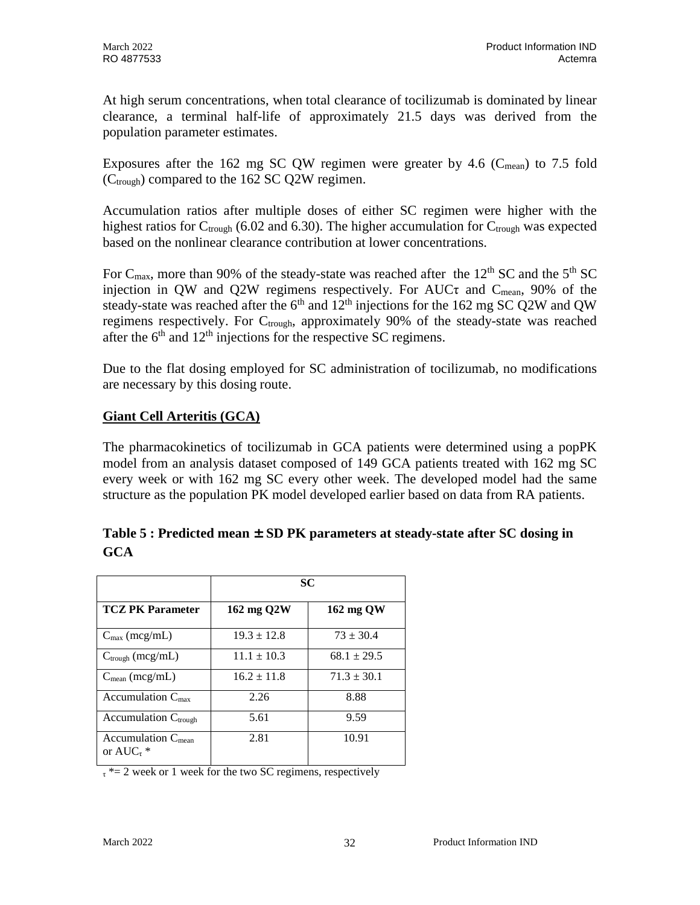At high serum concentrations, when total clearance of tocilizumab is dominated by linear clearance, a terminal half-life of approximately 21.5 days was derived from the population parameter estimates.

Exposures after the 162 mg SC QW regimen were greater by 4.6 ( $C_{mean}$ ) to 7.5 fold  $(C_{\text{trough}})$  compared to the 162 SC Q2W regimen.

Accumulation ratios after multiple doses of either SC regimen were higher with the highest ratios for  $C_{\text{trough}}$  (6.02 and 6.30). The higher accumulation for  $C_{\text{trough}}$  was expected based on the nonlinear clearance contribution at lower concentrations.

For C<sub>max</sub>, more than 90% of the steady-state was reached after the 12<sup>th</sup> SC and the 5<sup>th</sup> SC injection in QW and Q2W regimens respectively. For AUC $\tau$  and  $C_{mean}$ , 90% of the steady-state was reached after the  $6<sup>th</sup>$  and  $12<sup>th</sup>$  injections for the 162 mg SC Q2W and QW regimens respectively. For C<sub>trough</sub>, approximately 90% of the steady-state was reached after the  $6<sup>th</sup>$  and  $12<sup>th</sup>$  injections for the respective SC regimens.

Due to the flat dosing employed for SC administration of tocilizumab, no modifications are necessary by this dosing route.

## **Giant Cell Arteritis (GCA)**

The pharmacokinetics of tocilizumab in GCA patients were determined using a popPK model from an analysis dataset composed of 149 GCA patients treated with 162 mg SC every week or with 162 mg SC every other week. The developed model had the same structure as the population PK model developed earlier based on data from RA patients.

|                           | <b>SC</b>       |                 |
|---------------------------|-----------------|-----------------|
| <b>TCZ PK Parameter</b>   | 162 mg Q2W      | 162 mg QW       |
| $C_{\text{max}}$ (mcg/mL) | $19.3 \pm 12.8$ | $73 \pm 30.4$   |
| $C_{trough}$ (mcg/mL)     | $11.1 \pm 10.3$ | $68.1 \pm 29.5$ |
| $C_{mean}$ (mcg/mL)       | $16.2 \pm 11.8$ | $71.3 \pm 30.1$ |

2.81 10.91

## **Table 5 : Predicted mean ± SD PK parameters at steady-state after SC dosing in GCA**

 $\tau^*$  = 2 week or 1 week for the two SC regimens, respectively

Accumulation  $C_{\text{max}}$  2.26 8.88  $\text{Accumulation } C_{\text{trough}}$  5.61 9.59

or  $AUC_{\tau}$  \*

Accumulation C<sub>mean</sub>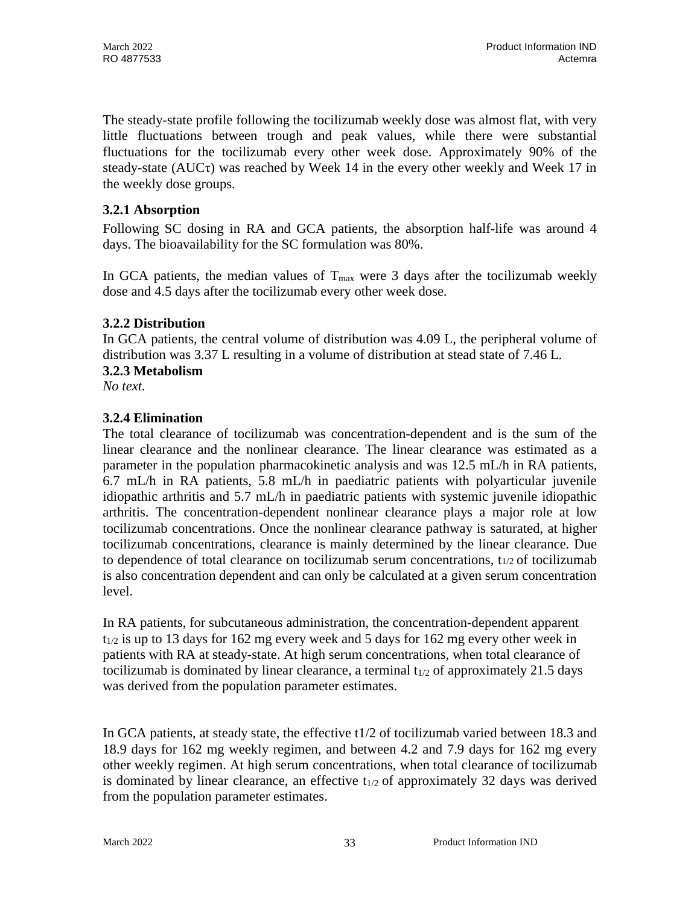The steady-state profile following the tocilizumab weekly dose was almost flat, with very little fluctuations between trough and peak values, while there were substantial fluctuations for the tocilizumab every other week dose. Approximately 90% of the steady-state  $(AUC_{\tau})$  was reached by Week 14 in the every other weekly and Week 17 in the weekly dose groups.

## **3.2.1 Absorption**

Following SC dosing in RA and GCA patients, the absorption half-life was around 4 days. The bioavailability for the SC formulation was 80%.

In GCA patients, the median values of  $T_{\text{max}}$  were 3 days after the tocilizumab weekly dose and 4.5 days after the tocilizumab every other week dose.

## **3.2.2 Distribution**

In GCA patients, the central volume of distribution was 4.09 L, the peripheral volume of distribution was 3.37 L resulting in a volume of distribution at stead state of 7.46 L.

## **3.2.3 Metabolism**

*No text.*

## **3.2.4 Elimination**

The total clearance of tocilizumab was concentration-dependent and is the sum of the linear clearance and the nonlinear clearance. The linear clearance was estimated as a parameter in the population pharmacokinetic analysis and was 12.5 mL/h in RA patients, 6.7 mL/h in RA patients, 5.8 mL/h in paediatric patients with polyarticular juvenile idiopathic arthritis and 5.7 mL/h in paediatric patients with systemic juvenile idiopathic arthritis. The concentration-dependent nonlinear clearance plays a major role at low tocilizumab concentrations. Once the nonlinear clearance pathway is saturated, at higher tocilizumab concentrations, clearance is mainly determined by the linear clearance. Due to dependence of total clearance on tocilizumab serum concentrations, t1/2 of tocilizumab is also concentration dependent and can only be calculated at a given serum concentration level.

In RA patients, for subcutaneous administration, the concentration-dependent apparent  $t_{1/2}$  is up to 13 days for 162 mg every week and 5 days for 162 mg every other week in patients with RA at steady-state. At high serum concentrations, when total clearance of to cilizumab is dominated by linear clearance, a terminal  $t_{1/2}$  of approximately 21.5 days was derived from the population parameter estimates.

In GCA patients, at steady state, the effective t1/2 of tocilizumab varied between 18.3 and 18.9 days for 162 mg weekly regimen, and between 4.2 and 7.9 days for 162 mg every other weekly regimen. At high serum concentrations, when total clearance of tocilizumab is dominated by linear clearance, an effective  $t_{1/2}$  of approximately 32 days was derived from the population parameter estimates.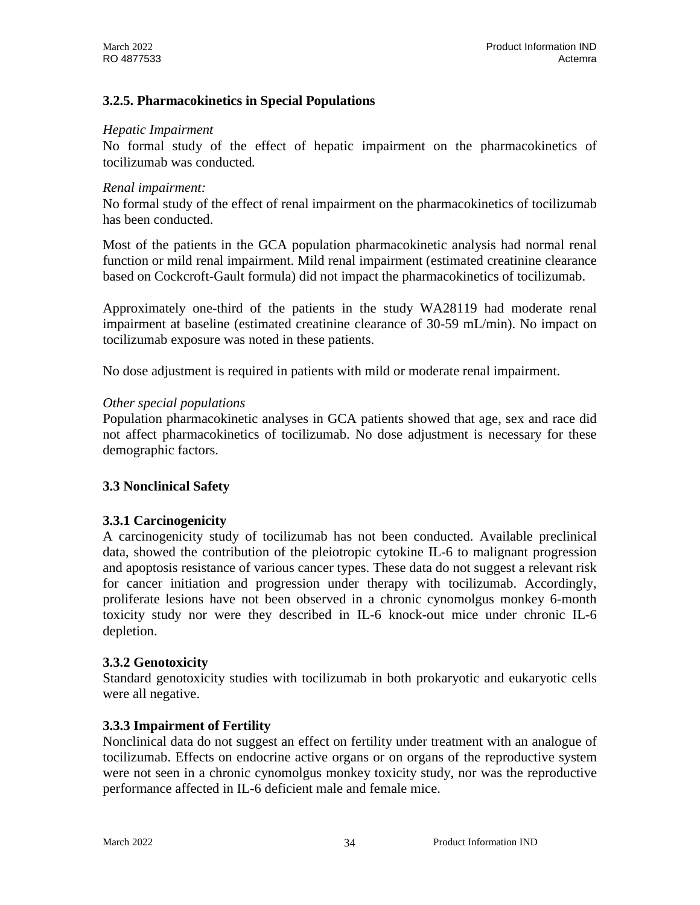## **3.2.5. Pharmacokinetics in Special Populations**

#### *Hepatic Impairment*

No formal study of the effect of hepatic impairment on the pharmacokinetics of tocilizumab was conducted*.*

#### *Renal impairment:*

No formal study of the effect of renal impairment on the pharmacokinetics of tocilizumab has been conducted.

Most of the patients in the GCA population pharmacokinetic analysis had normal renal function or mild renal impairment. Mild renal impairment (estimated creatinine clearance based on Cockcroft-Gault formula) did not impact the pharmacokinetics of tocilizumab.

Approximately one-third of the patients in the study WA28119 had moderate renal impairment at baseline (estimated creatinine clearance of 30-59 mL/min). No impact on tocilizumab exposure was noted in these patients.

No dose adjustment is required in patients with mild or moderate renal impairment.

#### *Other special populations*

Population pharmacokinetic analyses in GCA patients showed that age, sex and race did not affect pharmacokinetics of tocilizumab. No dose adjustment is necessary for these demographic factors.

## **3.3 Nonclinical Safety**

## **3.3.1 Carcinogenicity**

A carcinogenicity study of tocilizumab has not been conducted. Available preclinical data, showed the contribution of the pleiotropic cytokine IL-6 to malignant progression and apoptosis resistance of various cancer types. These data do not suggest a relevant risk for cancer initiation and progression under therapy with tocilizumab. Accordingly, proliferate lesions have not been observed in a chronic cynomolgus monkey 6-month toxicity study nor were they described in IL-6 knock-out mice under chronic IL-6 depletion.

#### **3.3.2 Genotoxicity**

Standard genotoxicity studies with tocilizumab in both prokaryotic and eukaryotic cells were all negative.

## **3.3.3 Impairment of Fertility**

Nonclinical data do not suggest an effect on fertility under treatment with an analogue of tocilizumab. Effects on endocrine active organs or on organs of the reproductive system were not seen in a chronic cynomolgus monkey toxicity study, nor was the reproductive performance affected in IL-6 deficient male and female mice.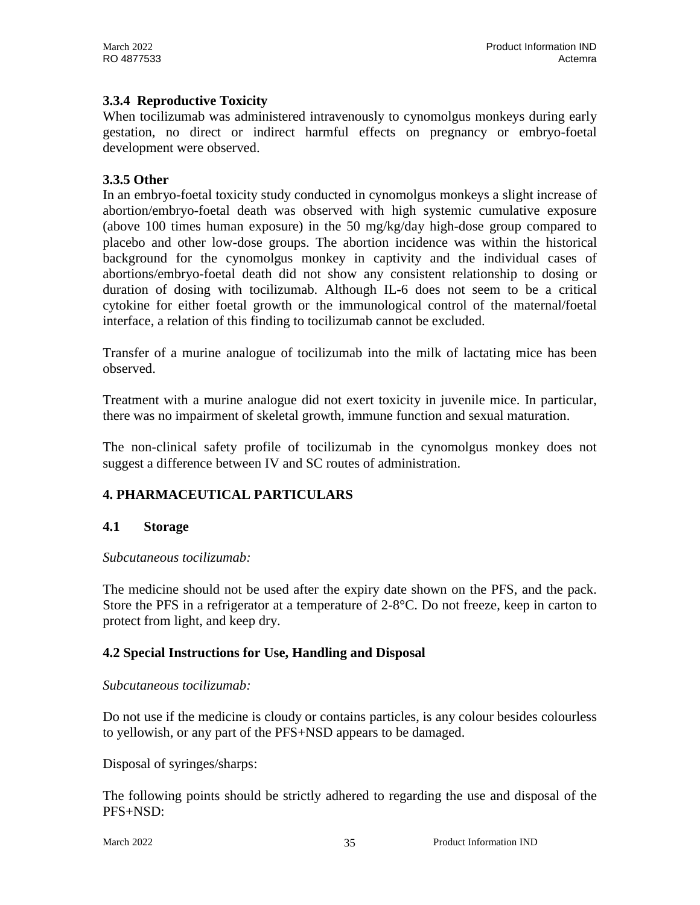## **3.3.4 Reproductive Toxicity**

When tocilizumab was administered intravenously to cynomolgus monkeys during early gestation, no direct or indirect harmful effects on pregnancy or embryo-foetal development were observed.

### **3.3.5 Other**

In an embryo-foetal toxicity study conducted in cynomolgus monkeys a slight increase of abortion/embryo-foetal death was observed with high systemic cumulative exposure (above 100 times human exposure) in the 50 mg/kg/day high-dose group compared to placebo and other low-dose groups. The abortion incidence was within the historical background for the cynomolgus monkey in captivity and the individual cases of abortions/embryo-foetal death did not show any consistent relationship to dosing or duration of dosing with tocilizumab. Although IL-6 does not seem to be a critical cytokine for either foetal growth or the immunological control of the maternal/foetal interface, a relation of this finding to tocilizumab cannot be excluded.

Transfer of a murine analogue of tocilizumab into the milk of lactating mice has been observed.

Treatment with a murine analogue did not exert toxicity in juvenile mice. In particular, there was no impairment of skeletal growth, immune function and sexual maturation.

The non-clinical safety profile of tocilizumab in the cynomolgus monkey does not suggest a difference between IV and SC routes of administration.

## **4. PHARMACEUTICAL PARTICULARS**

#### **4.1 Storage**

#### *Subcutaneous tocilizumab:*

The medicine should not be used after the expiry date shown on the PFS, and the pack. Store the PFS in a refrigerator at a temperature of 2-8°C. Do not freeze, keep in carton to protect from light, and keep dry.

#### **4.2 Special Instructions for Use, Handling and Disposal**

#### *Subcutaneous tocilizumab:*

Do not use if the medicine is cloudy or contains particles, is any colour besides colourless to yellowish, or any part of the PFS+NSD appears to be damaged.

Disposal of syringes/sharps:

The following points should be strictly adhered to regarding the use and disposal of the PFS+NSD: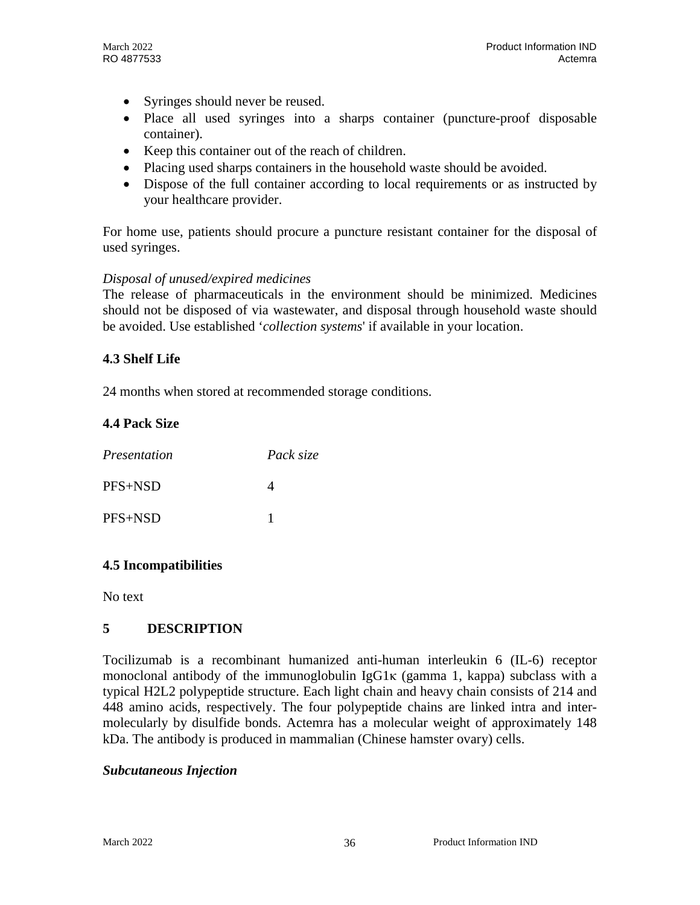- Syringes should never be reused.
- Place all used syringes into a sharps container (puncture-proof disposable container).
- Keep this container out of the reach of children.
- Placing used sharps containers in the household waste should be avoided.
- Dispose of the full container according to local requirements or as instructed by your healthcare provider.

For home use, patients should procure a puncture resistant container for the disposal of used syringes.

### *Disposal of unused/expired medicines*

The release of pharmaceuticals in the environment should be minimized. Medicines should not be disposed of via wastewater, and disposal through household waste should be avoided. Use established '*collection systems*' if available in your location.

### **4.3 Shelf Life**

24 months when stored at recommended storage conditions.

## **4.4 Pack Size**

| Presentation | Pack size |
|--------------|-----------|
| $PFS + NSD$  |           |
| PFS+NSD      |           |

## **4.5 Incompatibilities**

No text

## **5 DESCRIPTION**

Tocilizumab is a recombinant humanized anti-human interleukin 6 (IL-6) receptor monoclonal antibody of the immunoglobulin  $I_{\mathcal{B}}G1\kappa$  (gamma 1, kappa) subclass with a typical H2L2 polypeptide structure. Each light chain and heavy chain consists of 214 and 448 amino acids, respectively. The four polypeptide chains are linked intra and intermolecularly by disulfide bonds. Actemra has a molecular weight of approximately 148 kDa. The antibody is produced in mammalian (Chinese hamster ovary) cells.

#### *Subcutaneous Injection*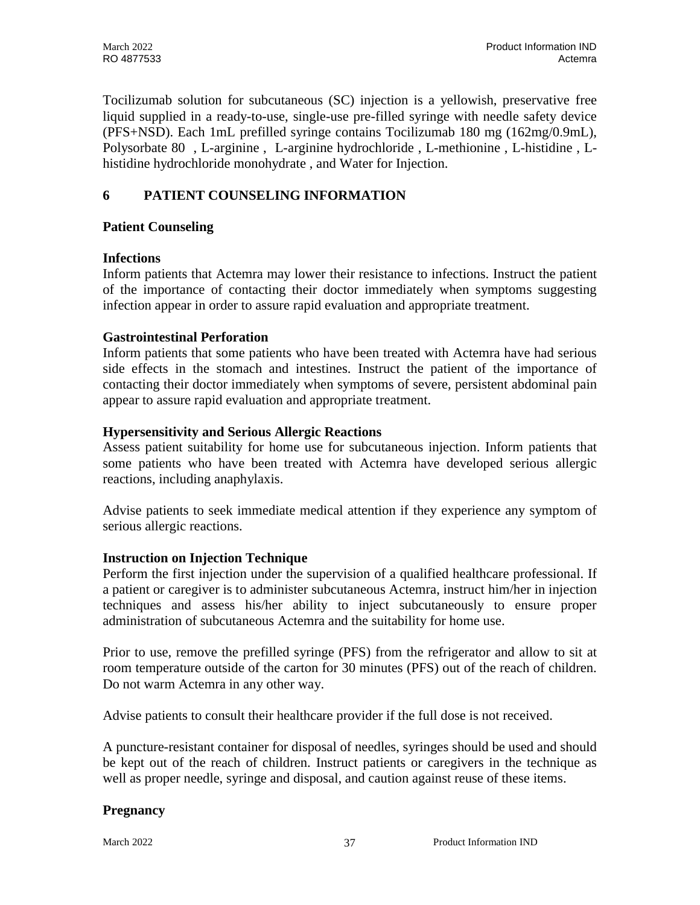Tocilizumab solution for subcutaneous (SC) injection is a yellowish, preservative free liquid supplied in a ready-to-use, single-use pre-filled syringe with needle safety device (PFS+NSD). Each 1mL prefilled syringe contains Tocilizumab 180 mg (162mg/0.9mL), Polysorbate 80 , L-arginine , L-arginine hydrochloride , L-methionine , L-histidine , Lhistidine hydrochloride monohydrate , and Water for Injection.

## **6 PATIENT COUNSELING INFORMATION**

## **Patient Counseling**

## **Infections**

Inform patients that Actemra may lower their resistance to infections. Instruct the patient of the importance of contacting their doctor immediately when symptoms suggesting infection appear in order to assure rapid evaluation and appropriate treatment.

## **Gastrointestinal Perforation**

Inform patients that some patients who have been treated with Actemra have had serious side effects in the stomach and intestines. Instruct the patient of the importance of contacting their doctor immediately when symptoms of severe, persistent abdominal pain appear to assure rapid evaluation and appropriate treatment.

## **Hypersensitivity and Serious Allergic Reactions**

Assess patient suitability for home use for subcutaneous injection. Inform patients that some patients who have been treated with Actemra have developed serious allergic reactions, including anaphylaxis.

Advise patients to seek immediate medical attention if they experience any symptom of serious allergic reactions.

## **Instruction on Injection Technique**

Perform the first injection under the supervision of a qualified healthcare professional. If a patient or caregiver is to administer subcutaneous Actemra, instruct him/her in injection techniques and assess his/her ability to inject subcutaneously to ensure proper administration of subcutaneous Actemra and the suitability for home use.

Prior to use, remove the prefilled syringe (PFS) from the refrigerator and allow to sit at room temperature outside of the carton for 30 minutes (PFS) out of the reach of children. Do not warm Actemra in any other way.

Advise patients to consult their healthcare provider if the full dose is not received.

A puncture-resistant container for disposal of needles, syringes should be used and should be kept out of the reach of children. Instruct patients or caregivers in the technique as well as proper needle, syringe and disposal, and caution against reuse of these items.

## **Pregnancy**